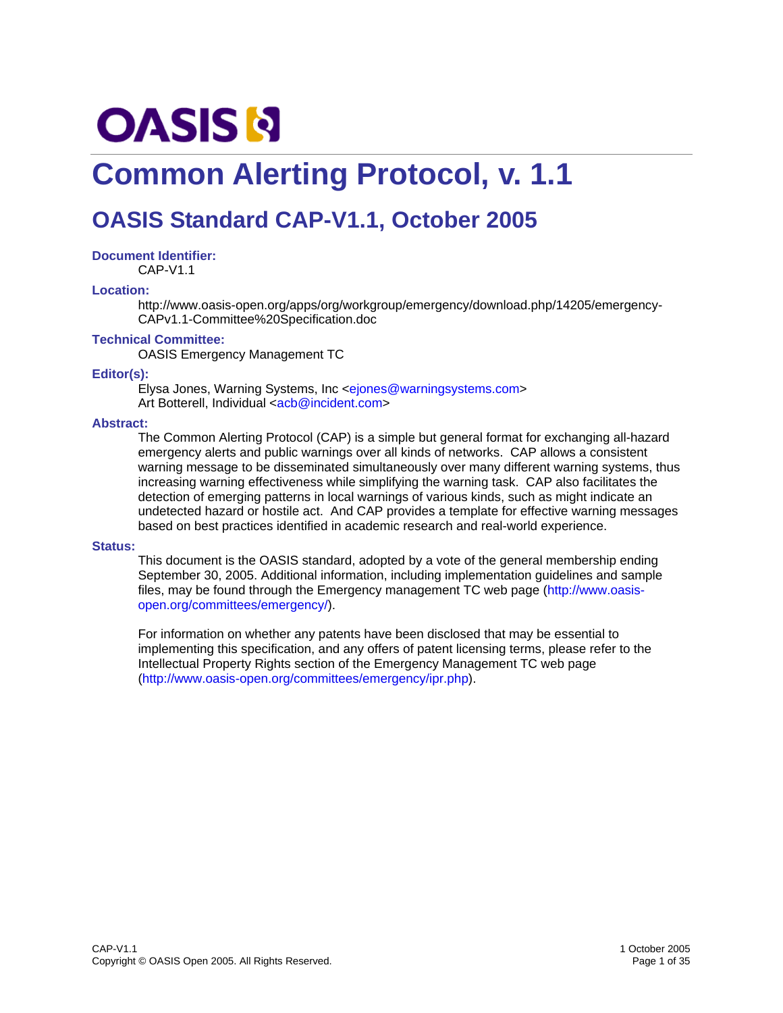# **OASIS N**

## **Common Alerting Protocol, v. 1.1**

## **OASIS Standard CAP-V1.1, October 2005**

**Document Identifier:** 

CAP-V1.1

#### **Location:**

http://www.oasis-open.org/apps/org/workgroup/emergency/download.php/14205/emergency-CAPv1.1-Committee%20Specification.doc

#### **Technical Committee:**

OASIS Emergency Management TC

#### **Editor(s):**

Elysa Jones, Warning Systems, Inc <ejones@warningsystems.com> Art Botterell, Individual <acb@incident.com>

#### **Abstract:**

The Common Alerting Protocol (CAP) is a simple but general format for exchanging all-hazard emergency alerts and public warnings over all kinds of networks. CAP allows a consistent warning message to be disseminated simultaneously over many different warning systems, thus increasing warning effectiveness while simplifying the warning task. CAP also facilitates the detection of emerging patterns in local warnings of various kinds, such as might indicate an undetected hazard or hostile act. And CAP provides a template for effective warning messages based on best practices identified in academic research and real-world experience.

#### **Status:**

This document is the OASIS standard, adopted by a vote of the general membership ending September 30, 2005. Additional information, including implementation guidelines and sample files, may be found through the Emergency management TC web page (http://www.oasisopen.org/committees/emergency/).

For information on whether any patents have been disclosed that may be essential to implementing this specification, and any offers of patent licensing terms, please refer to the Intellectual Property Rights section of the Emergency Management TC web page (http://www.oasis-open.org/committees/emergency/ipr.php).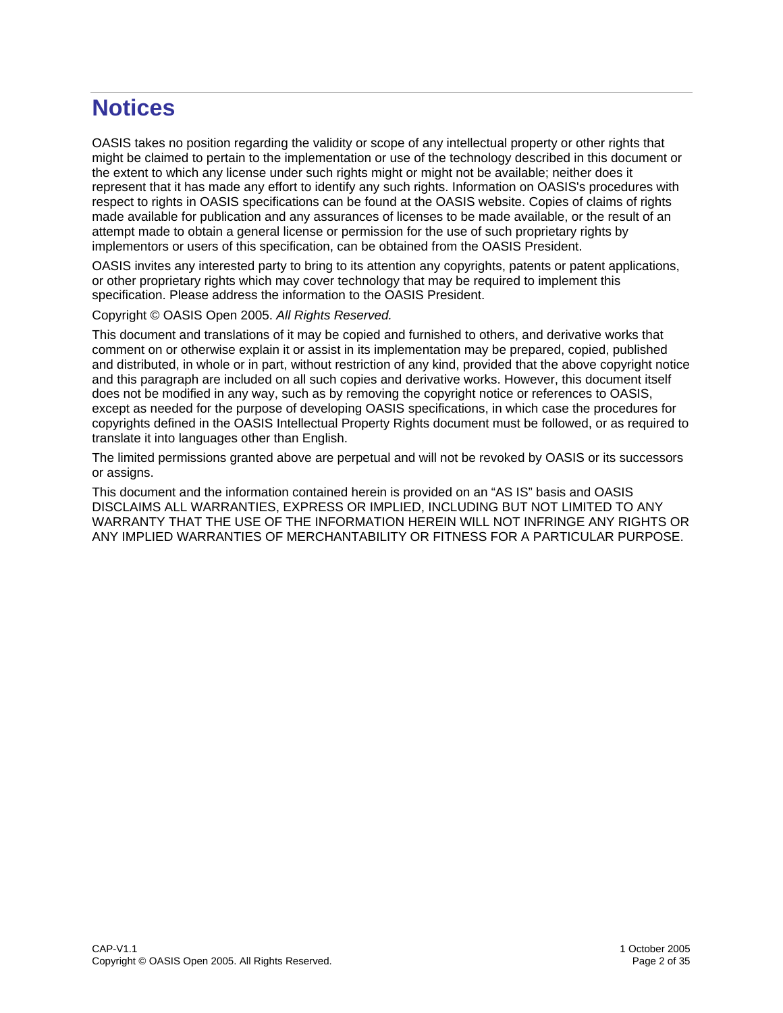## **Notices**

OASIS takes no position regarding the validity or scope of any intellectual property or other rights that might be claimed to pertain to the implementation or use of the technology described in this document or the extent to which any license under such rights might or might not be available; neither does it represent that it has made any effort to identify any such rights. Information on OASIS's procedures with respect to rights in OASIS specifications can be found at the OASIS website. Copies of claims of rights made available for publication and any assurances of licenses to be made available, or the result of an attempt made to obtain a general license or permission for the use of such proprietary rights by implementors or users of this specification, can be obtained from the OASIS President.

OASIS invites any interested party to bring to its attention any copyrights, patents or patent applications, or other proprietary rights which may cover technology that may be required to implement this specification. Please address the information to the OASIS President.

Copyright © OASIS Open 2005. *All Rights Reserved.*

This document and translations of it may be copied and furnished to others, and derivative works that comment on or otherwise explain it or assist in its implementation may be prepared, copied, published and distributed, in whole or in part, without restriction of any kind, provided that the above copyright notice and this paragraph are included on all such copies and derivative works. However, this document itself does not be modified in any way, such as by removing the copyright notice or references to OASIS, except as needed for the purpose of developing OASIS specifications, in which case the procedures for copyrights defined in the OASIS Intellectual Property Rights document must be followed, or as required to translate it into languages other than English.

The limited permissions granted above are perpetual and will not be revoked by OASIS or its successors or assigns.

This document and the information contained herein is provided on an "AS IS" basis and OASIS DISCLAIMS ALL WARRANTIES, EXPRESS OR IMPLIED, INCLUDING BUT NOT LIMITED TO ANY WARRANTY THAT THE USE OF THE INFORMATION HEREIN WILL NOT INFRINGE ANY RIGHTS OR ANY IMPLIED WARRANTIES OF MERCHANTABILITY OR FITNESS FOR A PARTICULAR PURPOSE.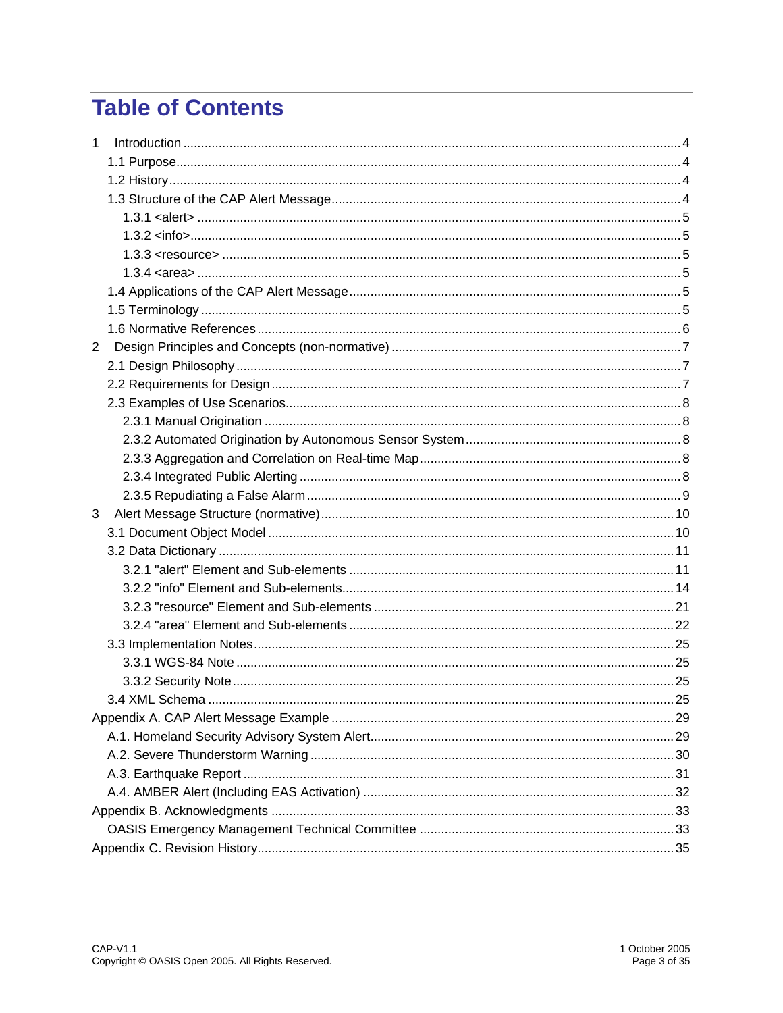## **Table of Contents**

| 1              |  |  |  |  |  |
|----------------|--|--|--|--|--|
|                |  |  |  |  |  |
|                |  |  |  |  |  |
|                |  |  |  |  |  |
|                |  |  |  |  |  |
|                |  |  |  |  |  |
|                |  |  |  |  |  |
|                |  |  |  |  |  |
|                |  |  |  |  |  |
|                |  |  |  |  |  |
|                |  |  |  |  |  |
| $\overline{2}$ |  |  |  |  |  |
|                |  |  |  |  |  |
|                |  |  |  |  |  |
|                |  |  |  |  |  |
|                |  |  |  |  |  |
|                |  |  |  |  |  |
|                |  |  |  |  |  |
|                |  |  |  |  |  |
|                |  |  |  |  |  |
| 3              |  |  |  |  |  |
|                |  |  |  |  |  |
|                |  |  |  |  |  |
|                |  |  |  |  |  |
|                |  |  |  |  |  |
|                |  |  |  |  |  |
|                |  |  |  |  |  |
|                |  |  |  |  |  |
|                |  |  |  |  |  |
|                |  |  |  |  |  |
|                |  |  |  |  |  |
|                |  |  |  |  |  |
|                |  |  |  |  |  |
|                |  |  |  |  |  |
|                |  |  |  |  |  |
|                |  |  |  |  |  |
|                |  |  |  |  |  |
|                |  |  |  |  |  |
|                |  |  |  |  |  |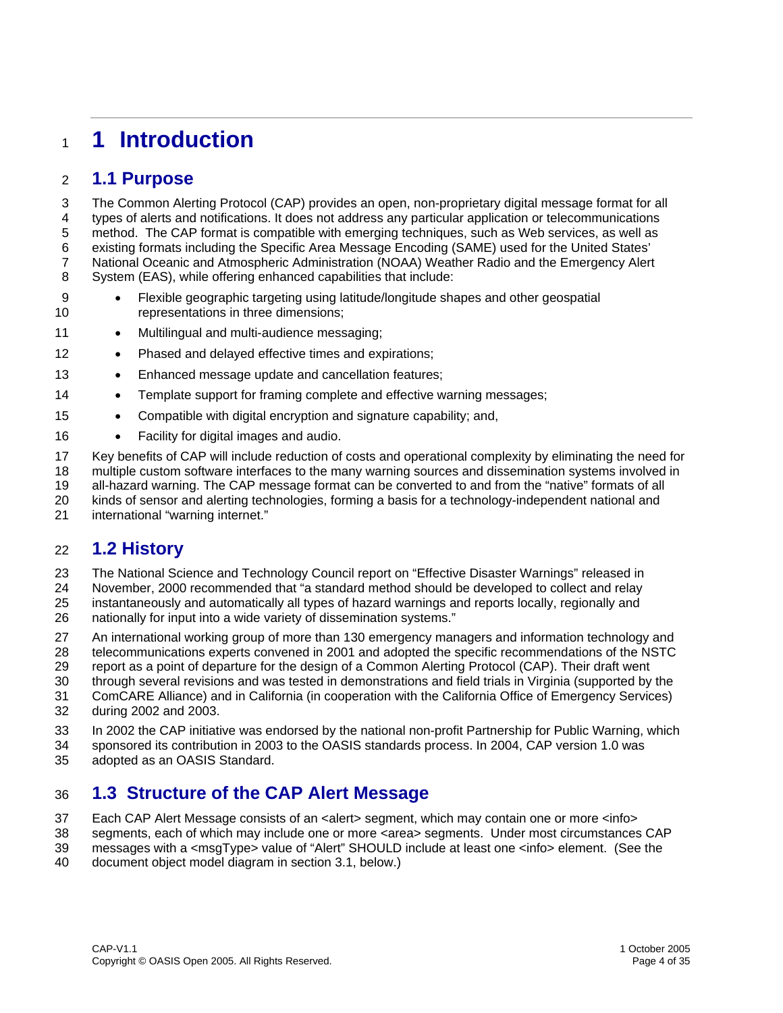## <sup>1</sup>**1 Introduction**

#### 2 **1.1 Purpose**

3 The Common Alerting Protocol (CAP) provides an open, non-proprietary digital message format for all 4 types of alerts and notifications. It does not address any particular application or telecommunications 5 method. The CAP format is compatible with emerging techniques, such as Web services, as well as 6 existing formats including the Specific Area Message Encoding (SAME) used for the United States' 7 National Oceanic and Atmospheric Administration (NOAA) Weather Radio and the Emergency Alert 8 System (EAS), while offering enhanced capabilities that include:

- 9 Flexible geographic targeting using latitude/longitude shapes and other geospatial 10 representations in three dimensions;
- 11 Multilingual and multi-audience messaging;
- 12 Phased and delayed effective times and expirations;
- 13 Enhanced message update and cancellation features;
- 14 Template support for framing complete and effective warning messages;
- 15 Compatible with digital encryption and signature capability; and,
- 16 Facility for digital images and audio.
- 17 Key benefits of CAP will include reduction of costs and operational complexity by eliminating the need for
- 18 multiple custom software interfaces to the many warning sources and dissemination systems involved in
- 19 all-hazard warning. The CAP message format can be converted to and from the "native" formats of all
- 20 kinds of sensor and alerting technologies, forming a basis for a technology-independent national and
- 21 international "warning internet."

#### 22 **1.2 History**

- 23 The National Science and Technology Council report on "Effective Disaster Warnings" released in
- 24 November, 2000 recommended that "a standard method should be developed to collect and relay
- 25 instantaneously and automatically all types of hazard warnings and reports locally, regionally and
- 26 nationally for input into a wide variety of dissemination systems."
- 27 An international working group of more than 130 emergency managers and information technology and 28 telecommunications experts convened in 2001 and adopted the specific recommendations of the NSTC
- 29 report as a point of departure for the design of a Common Alerting Protocol (CAP). Their draft went
- 30 through several revisions and was tested in demonstrations and field trials in Virginia (supported by the
- 31 ComCARE Alliance) and in California (in cooperation with the California Office of Emergency Services) 32 during 2002 and 2003.
- 33 In 2002 the CAP initiative was endorsed by the national non-profit Partnership for Public Warning, which
- 34 sponsored its contribution in 2003 to the OASIS standards process. In 2004, CAP version 1.0 was
- 35 adopted as an OASIS Standard.

#### 36 **1.3 Structure of the CAP Alert Message**

- 37 Each CAP Alert Message consists of an <alert> segment, which may contain one or more <info>
- 38 segments, each of which may include one or more <area> segments. Under most circumstances CAP
- 39 messages with a <msgType> value of "Alert" SHOULD include at least one <info> element. (See the
- 40 document object model diagram in section 3.1, below.)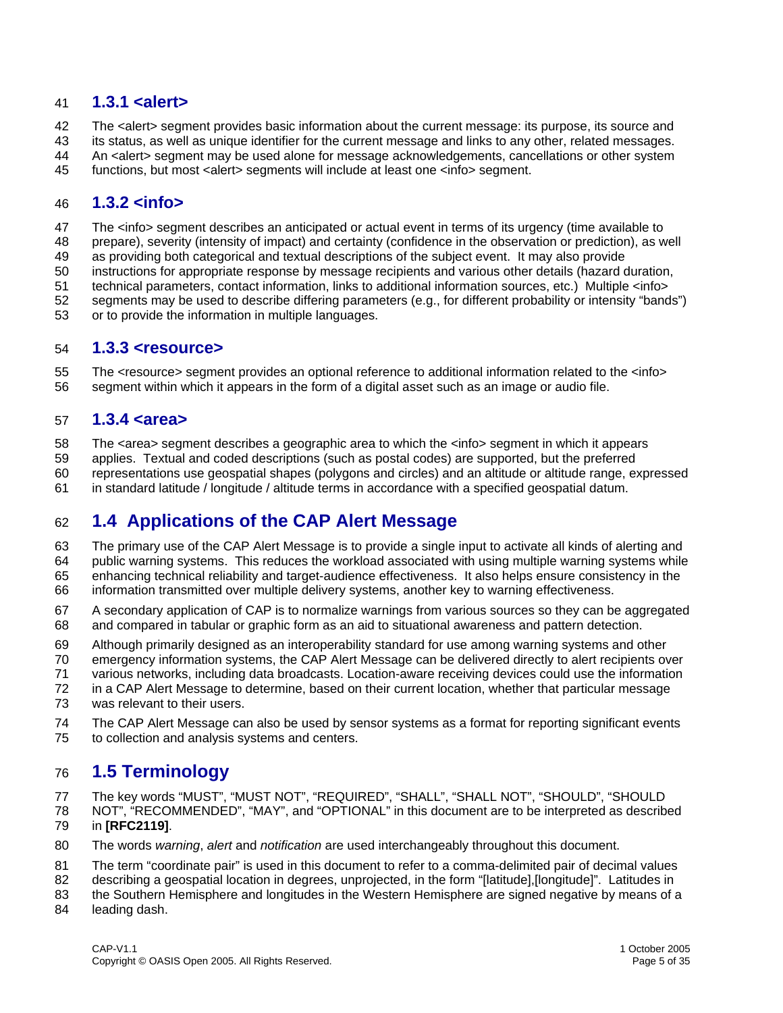#### 41 **1.3.1 <alert>**

42 The <alert> segment provides basic information about the current message: its purpose, its source and

- 43 its status, as well as unique identifier for the current message and links to any other, related messages.
- 44 An <alert> segment may be used alone for message acknowledgements, cancellations or other system
- 45 functions, but most <alert> segments will include at least one <info> segment.

#### 46 **1.3.2 <info>**

47 The <info> segment describes an anticipated or actual event in terms of its urgency (time available to

- 48 prepare), severity (intensity of impact) and certainty (confidence in the observation or prediction), as well
- 49 as providing both categorical and textual descriptions of the subject event. It may also provide
- 50 instructions for appropriate response by message recipients and various other details (hazard duration,
- 51 technical parameters, contact information, links to additional information sources, etc.) Multiple <info>
- 52 segments may be used to describe differing parameters (e.g., for different probability or intensity "bands")
- 53 or to provide the information in multiple languages.

#### 54 **1.3.3 <resource>**

55 The <resource> segment provides an optional reference to additional information related to the <info> 56 segment within which it appears in the form of a digital asset such as an image or audio file.

#### 57 **1.3.4 <area>**

58 The <area> segment describes a geographic area to which the <info> segment in which it appears

- 59 applies. Textual and coded descriptions (such as postal codes) are supported, but the preferred
- 60 representations use geospatial shapes (polygons and circles) and an altitude or altitude range, expressed
- 61 in standard latitude / longitude / altitude terms in accordance with a specified geospatial datum.

#### 62 **1.4 Applications of the CAP Alert Message**

63 The primary use of the CAP Alert Message is to provide a single input to activate all kinds of alerting and

- 64 public warning systems. This reduces the workload associated with using multiple warning systems while 65 enhancing technical reliability and target-audience effectiveness. It also helps ensure consistency in the
- 66 information transmitted over multiple delivery systems, another key to warning effectiveness.
- 67 A secondary application of CAP is to normalize warnings from various sources so they can be aggregated 68 and compared in tabular or graphic form as an aid to situational awareness and pattern detection.
- 69 Although primarily designed as an interoperability standard for use among warning systems and other
- 70 emergency information systems, the CAP Alert Message can be delivered directly to alert recipients over
- 71 various networks, including data broadcasts. Location-aware receiving devices could use the information
- 72 in a CAP Alert Message to determine, based on their current location, whether that particular message
- 73 was relevant to their users.
- 74 The CAP Alert Message can also be used by sensor systems as a format for reporting significant events 75 to collection and analysis systems and centers.

#### 76 **1.5 Terminology**

77 The key words "MUST", "MUST NOT", "REQUIRED", "SHALL", "SHALL NOT", "SHOULD", "SHOULD

78 NOT", "RECOMMENDED", "MAY", and "OPTIONAL" in this document are to be interpreted as described

#### 79 in **[RFC2119]**.

- 80 The words *warning*, *alert* and *notification* are used interchangeably throughout this document.
- 81 The term "coordinate pair" is used in this document to refer to a comma-delimited pair of decimal values
- 82 describing a geospatial location in degrees, unprojected, in the form "[latitude],[longitude]". Latitudes in
- 83 the Southern Hemisphere and longitudes in the Western Hemisphere are signed negative by means of a
- 84 leading dash.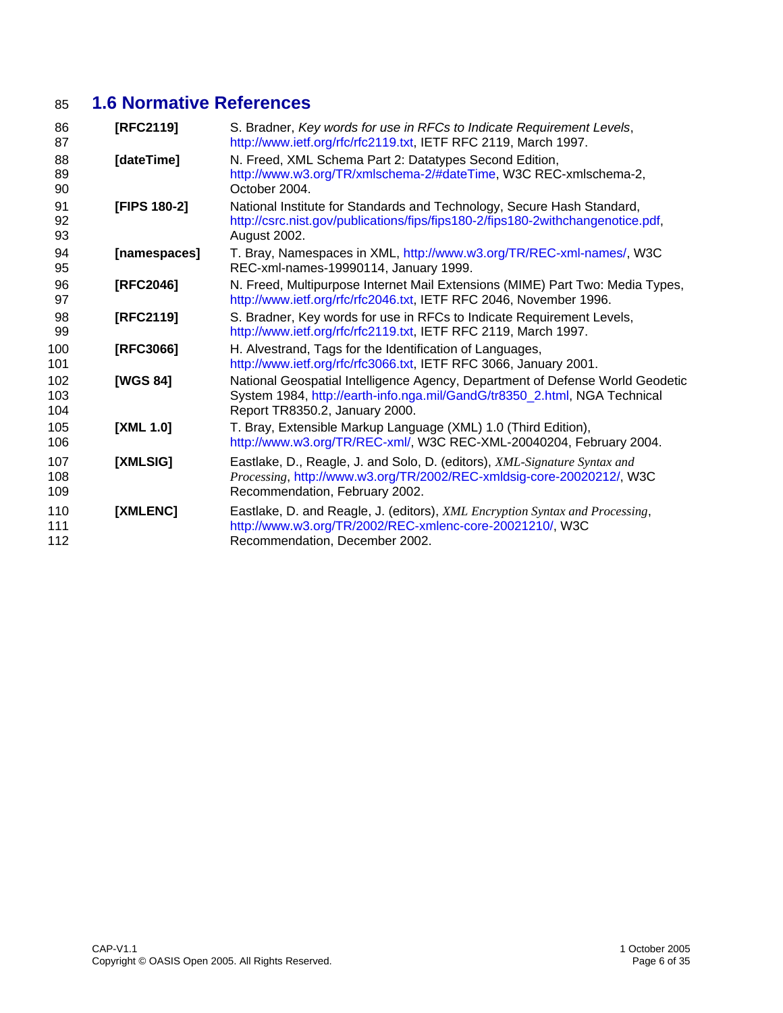#### 85 **1.6 Normative References**

| 86<br>87          | [RFC2119]    | S. Bradner, Key words for use in RFCs to Indicate Requirement Levels,<br>http://www.ietf.org/rfc/rfc2119.txt, IETF RFC 2119, March 1997.                                                     |
|-------------------|--------------|----------------------------------------------------------------------------------------------------------------------------------------------------------------------------------------------|
| 88<br>89<br>90    | [dateTime]   | N. Freed, XML Schema Part 2: Datatypes Second Edition,<br>http://www.w3.org/TR/xmlschema-2/#dateTime, W3C REC-xmlschema-2,<br>October 2004.                                                  |
| 91<br>92<br>93    | [FIPS 180-2] | National Institute for Standards and Technology, Secure Hash Standard,<br>http://csrc.nist.gov/publications/fips/fips180-2/fips180-2withchangenotice.pdf,<br>August 2002.                    |
| 94<br>95          | [namespaces] | T. Bray, Namespaces in XML, http://www.w3.org/TR/REC-xml-names/, W3C<br>REC-xml-names-19990114, January 1999.                                                                                |
| 96<br>97          | [RFC2046]    | N. Freed, Multipurpose Internet Mail Extensions (MIME) Part Two: Media Types,<br>http://www.ietf.org/rfc/rfc2046.txt, IETF RFC 2046, November 1996.                                          |
| 98<br>99          | [RFC2119]    | S. Bradner, Key words for use in RFCs to Indicate Requirement Levels,<br>http://www.ietf.org/rfc/rfc2119.txt, IETF RFC 2119, March 1997.                                                     |
| 100<br>101        | [RFC3066]    | H. Alvestrand, Tags for the Identification of Languages,<br>http://www.ietf.org/rfc/rfc3066.txt, IETF RFC 3066, January 2001.                                                                |
| 102<br>103<br>104 | [WGS 84]     | National Geospatial Intelligence Agency, Department of Defense World Geodetic<br>System 1984, http://earth-info.nga.mil/GandG/tr8350_2.html, NGA Technical<br>Report TR8350.2, January 2000. |
| 105<br>106        | [XML 1.0]    | T. Bray, Extensible Markup Language (XML) 1.0 (Third Edition),<br>http://www.w3.org/TR/REC-xml/, W3C REC-XML-20040204, February 2004.                                                        |
| 107<br>108<br>109 | [XMLSIG]     | Eastlake, D., Reagle, J. and Solo, D. (editors), XML-Signature Syntax and<br>Processing, http://www.w3.org/TR/2002/REC-xmldsig-core-20020212/, W3C<br>Recommendation, February 2002.         |
| 110<br>111<br>112 | [XMLENC]     | Eastlake, D. and Reagle, J. (editors), XML Encryption Syntax and Processing,<br>http://www.w3.org/TR/2002/REC-xmlenc-core-20021210/, W3C<br>Recommendation, December 2002.                   |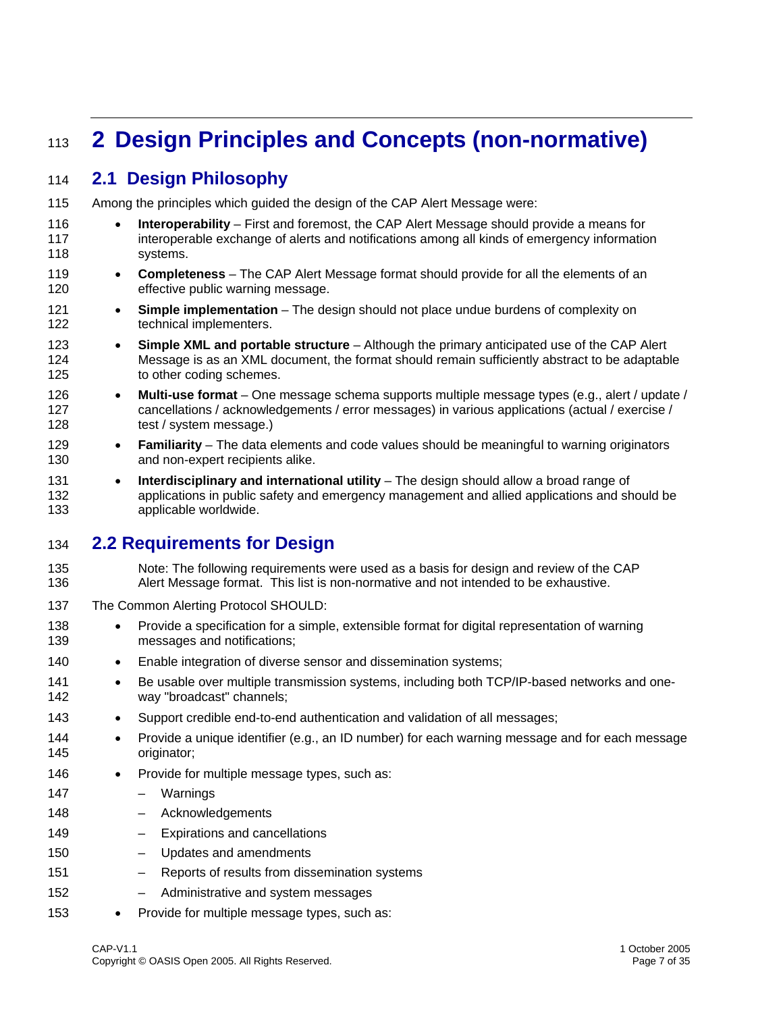## <sup>113</sup>**2 Design Principles and Concepts (non-normative)**

#### 114 **2.1 Design Philosophy**

- 115 Among the principles which guided the design of the CAP Alert Message were:
- 116 **Interoperability** First and foremost, the CAP Alert Message should provide a means for 117 interoperable exchange of alerts and notifications among all kinds of emergency information 118 systems.
- 119 **Completeness** The CAP Alert Message format should provide for all the elements of an 120 effective public warning message.
- 121 **Simple implementation** The design should not place undue burdens of complexity on 122 technical implementers.
- 123 **Simple XML and portable structure** Although the primary anticipated use of the CAP Alert 124 Message is as an XML document, the format should remain sufficiently abstract to be adaptable 125 to other coding schemes.
- 126 **Multi-use format** One message schema supports multiple message types (e.g., alert / update / 127 cancellations / acknowledgements / error messages) in various applications (actual / exercise / 128 test / system message.)
- 129 **Familiarity** The data elements and code values should be meaningful to warning originators 130 **and non-expert recipients alike.**
- 131 **Interdisciplinary and international utility** The design should allow a broad range of 132 applications in public safety and emergency management and allied applications and should be 133 applicable worldwide.

#### 134 **2.2 Requirements for Design**

- 135 Note: The following requirements were used as a basis for design and review of the CAP 136 Alert Message format. This list is non-normative and not intended to be exhaustive.
- 137 The Common Alerting Protocol SHOULD:
- 138 Provide a specification for a simple, extensible format for digital representation of warning 139 messages and notifications;
- 140 Enable integration of diverse sensor and dissemination systems;
- 141 Be usable over multiple transmission systems, including both TCP/IP-based networks and one-142 way "broadcast" channels;
- 143 Support credible end-to-end authentication and validation of all messages;
- 144 Provide a unique identifier (e.g., an ID number) for each warning message and for each message 145 originator;
- 146 Provide for multiple message types, such as:
- 147 Warnings 148 – Acknowledgements
- 149 Expirations and cancellations
- 150 Updates and amendments
- 151 Reports of results from dissemination systems
- 152 Administrative and system messages
- 153 Provide for multiple message types, such as: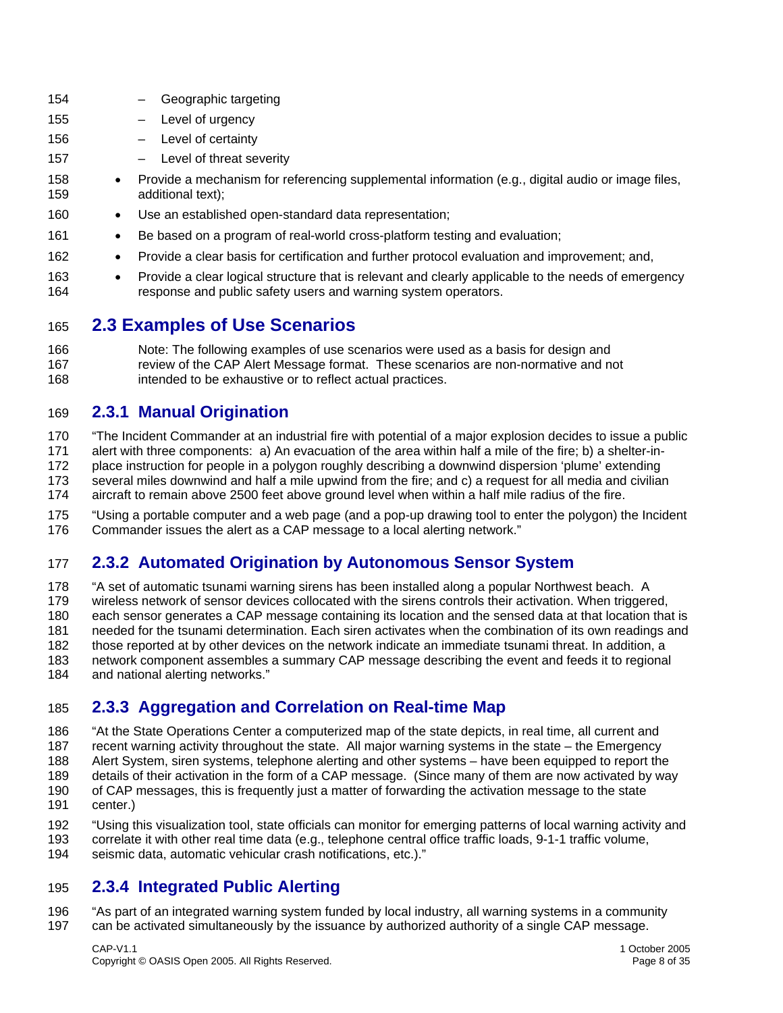| 165        |           | <b>2.3 Examples of Use Scenarios</b>                                                                                                                                  |
|------------|-----------|-----------------------------------------------------------------------------------------------------------------------------------------------------------------------|
| 163<br>164 | $\bullet$ | Provide a clear logical structure that is relevant and clearly applicable to the needs of emergency<br>response and public safety users and warning system operators. |
| 162        | $\bullet$ | Provide a clear basis for certification and further protocol evaluation and improvement; and,                                                                         |
| 161        | $\bullet$ | Be based on a program of real-world cross-platform testing and evaluation;                                                                                            |
| 160        | $\bullet$ | Use an established open-standard data representation;                                                                                                                 |
| 158<br>159 | $\bullet$ | Provide a mechanism for referencing supplemental information (e.g., digital audio or image files,<br>additional text);                                                |
| 157        |           | Level of threat severity                                                                                                                                              |
| 156        |           | Level of certainty                                                                                                                                                    |
| 155        |           | Level of urgency                                                                                                                                                      |
| 154        |           | Geographic targeting                                                                                                                                                  |

#### 165 **2.3 Examples of Use Scenarios**

166 Note: The following examples of use scenarios were used as a basis for design and 167 review of the CAP Alert Message format. These scenarios are non-normative and not 168 intended to be exhaustive or to reflect actual practices.

#### 169 **2.3.1 Manual Origination**

170 "The Incident Commander at an industrial fire with potential of a major explosion decides to issue a public 171 alert with three components: a) An evacuation of the area within half a mile of the fire; b) a shelter-in-172 place instruction for people in a polygon roughly describing a downwind dispersion 'plume' extending 173 several miles downwind and half a mile upwind from the fire; and c) a request for all media and civilian

174 aircraft to remain above 2500 feet above ground level when within a half mile radius of the fire.

175 "Using a portable computer and a web page (and a pop-up drawing tool to enter the polygon) the Incident 176 Commander issues the alert as a CAP message to a local alerting network."

#### 177 **2.3.2 Automated Origination by Autonomous Sensor System**

178 "A set of automatic tsunami warning sirens has been installed along a popular Northwest beach. A 179 wireless network of sensor devices collocated with the sirens controls their activation. When triggered,

180 each sensor generates a CAP message containing its location and the sensed data at that location that is

181 needed for the tsunami determination. Each siren activates when the combination of its own readings and

- 182 those reported at by other devices on the network indicate an immediate tsunami threat. In addition, a 183 network component assembles a summary CAP message describing the event and feeds it to regional
- 184 and national alerting networks."

#### 185 **2.3.3 Aggregation and Correlation on Real-time Map**

186 "At the State Operations Center a computerized map of the state depicts, in real time, all current and

187 recent warning activity throughout the state. All major warning systems in the state – the Emergency

188 Alert System, siren systems, telephone alerting and other systems – have been equipped to report the

- 189 details of their activation in the form of a CAP message. (Since many of them are now activated by way
- 190 of CAP messages, this is frequently just a matter of forwarding the activation message to the state
- 191 center.)
- 192 "Using this visualization tool, state officials can monitor for emerging patterns of local warning activity and
- 193 correlate it with other real time data (e.g., telephone central office traffic loads, 9-1-1 traffic volume, 194 seismic data, automatic vehicular crash notifications, etc.)."

#### 195 **2.3.4 Integrated Public Alerting**

196 "As part of an integrated warning system funded by local industry, all warning systems in a community 197 can be activated simultaneously by the issuance by authorized authority of a single CAP message.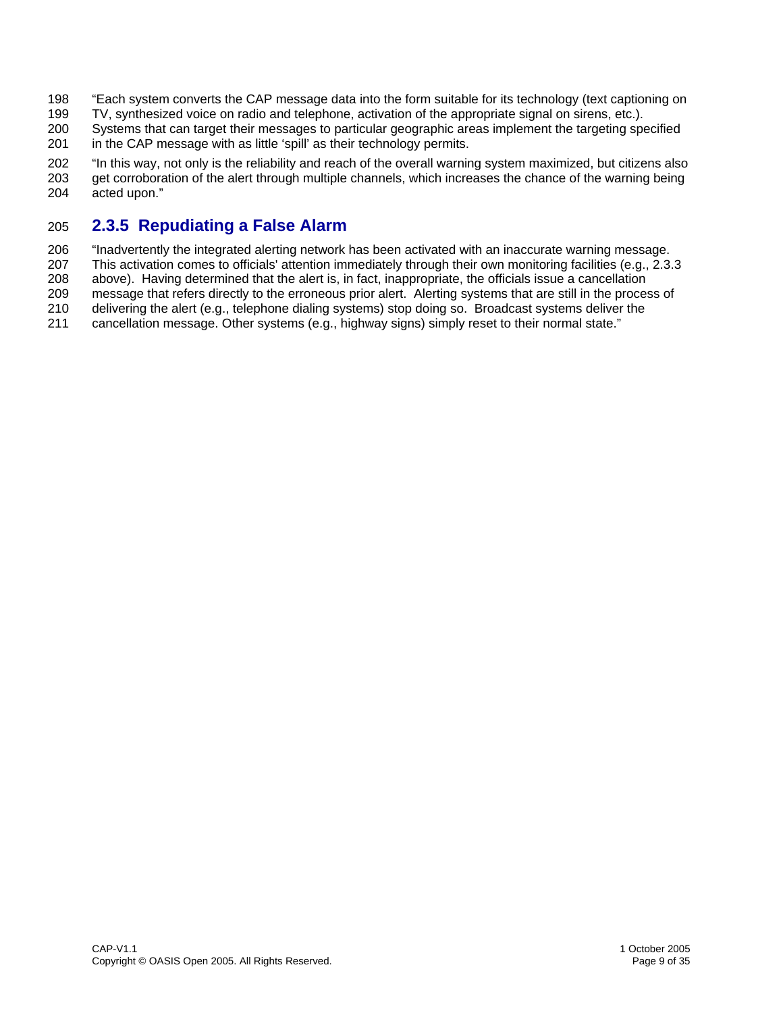- 198 "Each system converts the CAP message data into the form suitable for its technology (text captioning on
- 199 TV, synthesized voice on radio and telephone, activation of the appropriate signal on sirens, etc.).
- 200 Systems that can target their messages to particular geographic areas implement the targeting specified 201 in the CAP message with as little 'spill' as their technology permits.
- 202 "In this way, not only is the reliability and reach of the overall warning system maximized, but citizens also 203 get corroboration of the alert through multiple channels, which increases the chance of the warning being 204 acted upon."

#### 205 **2.3.5 Repudiating a False Alarm**

206 "Inadvertently the integrated alerting network has been activated with an inaccurate warning message.

207 This activation comes to officials' attention immediately through their own monitoring facilities (e.g., 2.3.3

208 above). Having determined that the alert is, in fact, inappropriate, the officials issue a cancellation

209 message that refers directly to the erroneous prior alert. Alerting systems that are still in the process of

210 delivering the alert (e.g., telephone dialing systems) stop doing so. Broadcast systems deliver the

211 cancellation message. Other systems (e.g., highway signs) simply reset to their normal state."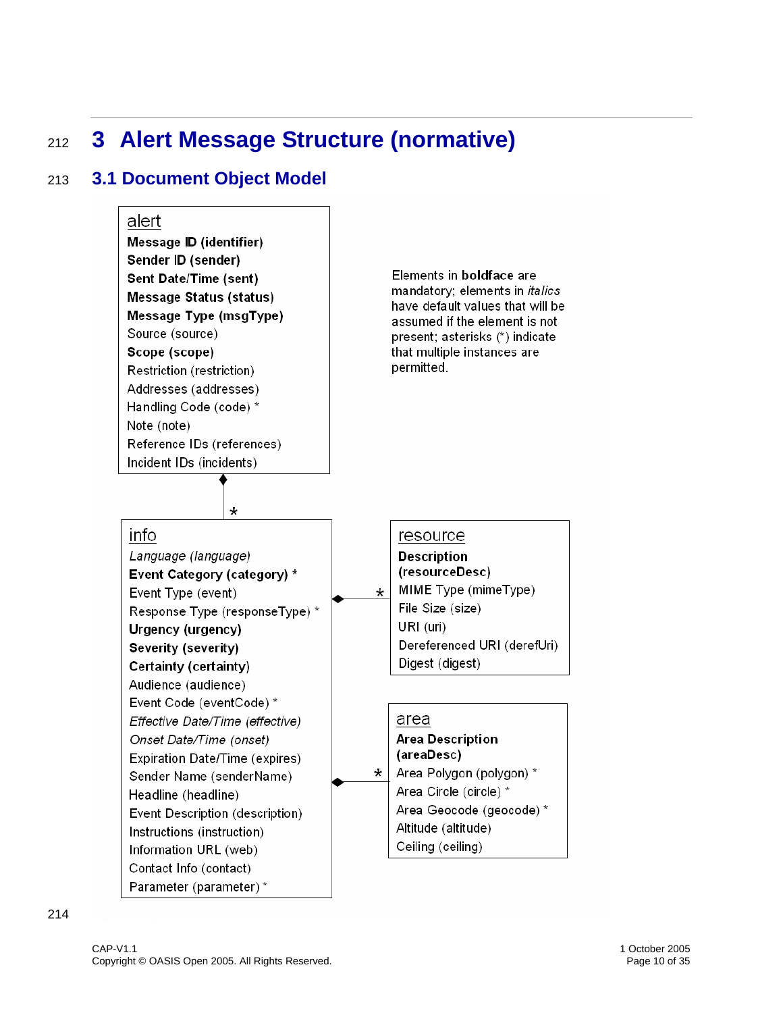## <sup>212</sup>**3 Alert Message Structure (normative)**

#### 213 **3.1 Document Object Model**

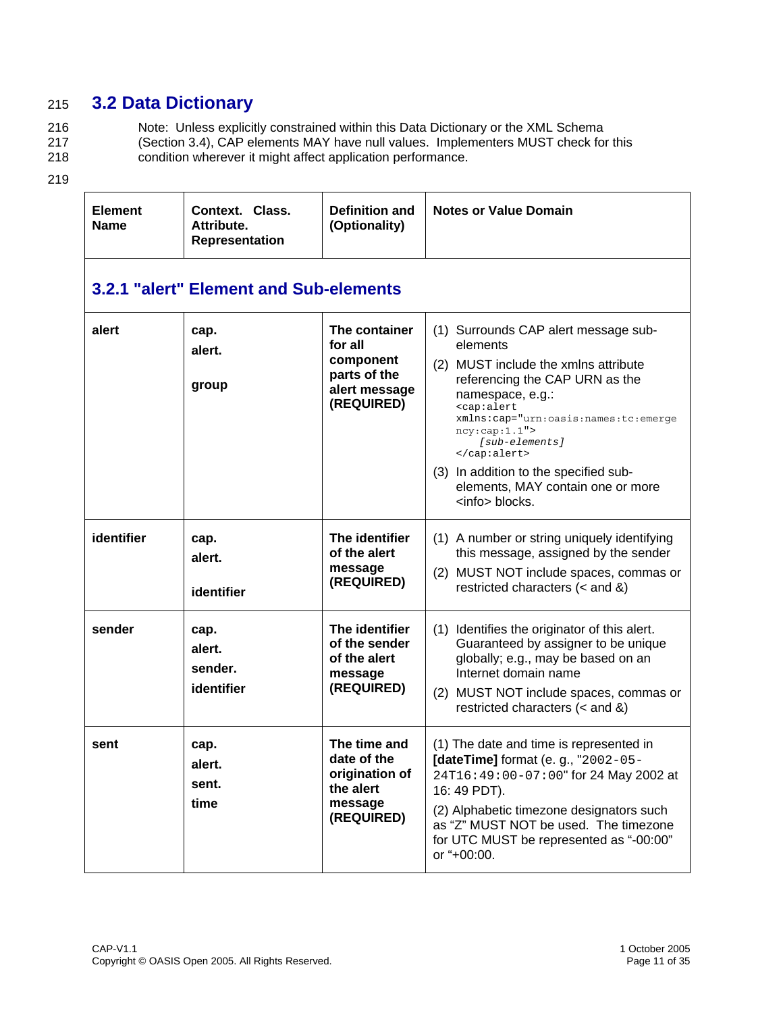#### 215 **3.2 Data Dictionary**

216 Note: Unless explicitly constrained within this Data Dictionary or the XML Schema 217 (Section 3.4), CAP elements MAY have null values. Implementers MUST check for this

- 218 condition wherever it might affect application performance.
- 219

| <b>Element</b><br><b>Name</b> | Context. Class.<br>Attribute.<br>Representation | <b>Definition and</b><br>(Optionality)                                               | <b>Notes or Value Domain</b>                                                                                                                                                                                                                                                                                                                                                        |
|-------------------------------|-------------------------------------------------|--------------------------------------------------------------------------------------|-------------------------------------------------------------------------------------------------------------------------------------------------------------------------------------------------------------------------------------------------------------------------------------------------------------------------------------------------------------------------------------|
|                               | 3.2.1 "alert" Element and Sub-elements          |                                                                                      |                                                                                                                                                                                                                                                                                                                                                                                     |
| alert                         | cap.<br>alert.<br>group                         | The container<br>for all<br>component<br>parts of the<br>alert message<br>(REQUIRED) | (1) Surrounds CAP alert message sub-<br>elements<br>(2) MUST include the xmlns attribute<br>referencing the CAP URN as the<br>namespace, e.g.:<br><cap:alert<br><math>xmlns:cap="urr:oasis:names:tc:emerge</math><br/>ncy:cap:1.1"<br/>[sub-elements]<br/><br/>(3) In addition to the specified sub-<br/>elements, MAY contain one or more<br/><info> blocks.</info></cap:alert<br> |
| identifier                    | cap.<br>alert.<br>identifier                    | The identifier<br>of the alert<br>message<br>(REQUIRED)                              | (1) A number or string uniquely identifying<br>this message, assigned by the sender<br>(2) MUST NOT include spaces, commas or<br>restricted characters $(<$ and $\&$ )                                                                                                                                                                                                              |
| sender                        | cap.<br>alert.<br>sender.<br>identifier         | The identifier<br>of the sender<br>of the alert<br>message<br>(REQUIRED)             | (1) Identifies the originator of this alert.<br>Guaranteed by assigner to be unique<br>globally; e.g., may be based on an<br>Internet domain name<br>(2) MUST NOT include spaces, commas or<br>restricted characters $(<$ and $\&$ )                                                                                                                                                |
| sent                          | cap.<br>alert.<br>sent.<br>time                 | The time and<br>date of the<br>origination of<br>the alert<br>message<br>(REQUIRED)  | (1) The date and time is represented in<br>[dateTime] format (e. g., "2002-05-<br>24T16:49:00-07:00" for 24 May 2002 at<br>16: 49 PDT).<br>(2) Alphabetic timezone designators such<br>as "Z" MUST NOT be used. The timezone<br>for UTC MUST be represented as "-00:00"<br>or "+00:00.                                                                                              |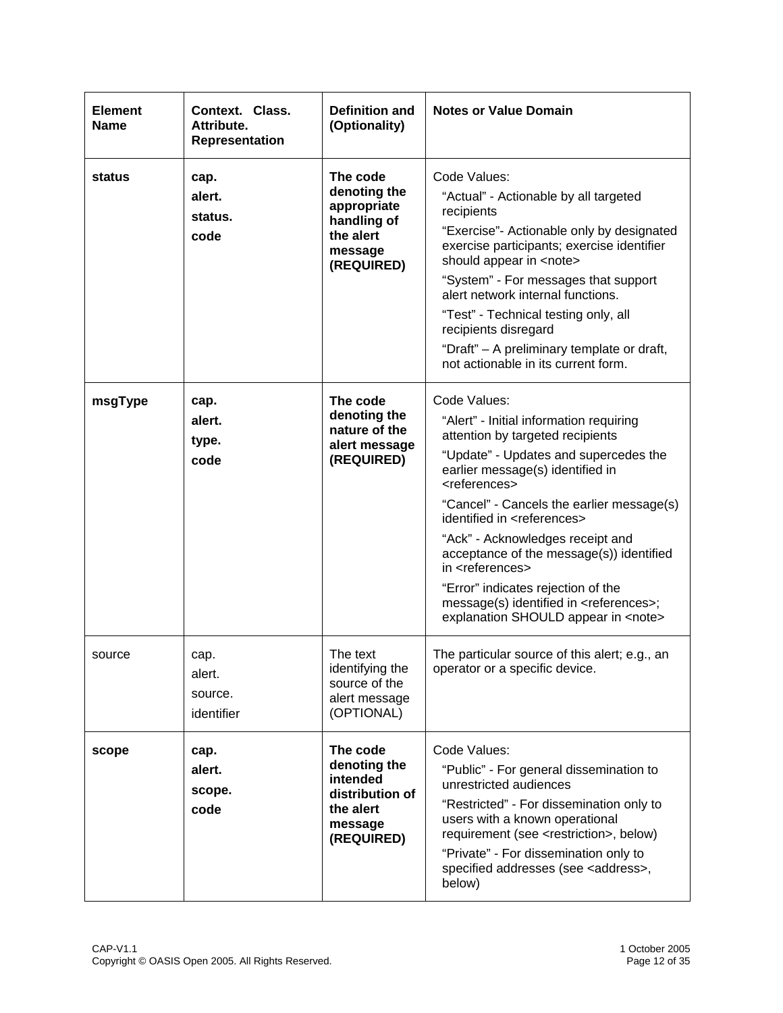| <b>Element</b><br><b>Name</b> | Context. Class.<br>Attribute.<br><b>Representation</b> | <b>Definition and</b><br>(Optionality)                                                        | <b>Notes or Value Domain</b>                                                                                                                                                                                                                                                                                                                                                                                                                                                                                                                                     |
|-------------------------------|--------------------------------------------------------|-----------------------------------------------------------------------------------------------|------------------------------------------------------------------------------------------------------------------------------------------------------------------------------------------------------------------------------------------------------------------------------------------------------------------------------------------------------------------------------------------------------------------------------------------------------------------------------------------------------------------------------------------------------------------|
| status                        | cap.<br>alert.<br>status.<br>code                      | The code<br>denoting the<br>appropriate<br>handling of<br>the alert<br>message<br>(REQUIRED)  | Code Values:<br>"Actual" - Actionable by all targeted<br>recipients<br>"Exercise"- Actionable only by designated<br>exercise participants; exercise identifier<br>should appear in <note><br/>"System" - For messages that support<br/>alert network internal functions.<br/>"Test" - Technical testing only, all<br/>recipients disregard<br/>"Draft" - A preliminary template or draft,<br/>not actionable in its current form.</note>                                                                                                                         |
| msgType                       | cap.<br>alert.<br>type.<br>code                        | The code<br>denoting the<br>nature of the<br>alert message<br>(REQUIRED)                      | Code Values:<br>"Alert" - Initial information requiring<br>attention by targeted recipients<br>"Update" - Updates and supercedes the<br>earlier message(s) identified in<br><references><br/>"Cancel" - Cancels the earlier message(s)<br/>identified in <references><br/>"Ack" - Acknowledges receipt and<br/>acceptance of the message(s)) identified<br/>in <references><br/>"Error" indicates rejection of the<br/>message(s) identified in <references>;<br/>explanation SHOULD appear in <note></note></references></references></references></references> |
| source                        | cap.<br>alert.<br>source.<br>identifier                | The text<br>identifying the<br>source of the<br>alert message<br>(OPTIONAL)                   | The particular source of this alert; e.g., an<br>operator or a specific device.                                                                                                                                                                                                                                                                                                                                                                                                                                                                                  |
| scope                         | cap.<br>alert.<br>scope.<br>code                       | The code<br>denoting the<br>intended<br>distribution of<br>the alert<br>message<br>(REQUIRED) | Code Values:<br>"Public" - For general dissemination to<br>unrestricted audiences<br>"Restricted" - For dissemination only to<br>users with a known operational<br>requirement (see <restriction>, below)<br/>"Private" - For dissemination only to<br/>specified addresses (see <address>,<br/>below)</address></restriction>                                                                                                                                                                                                                                   |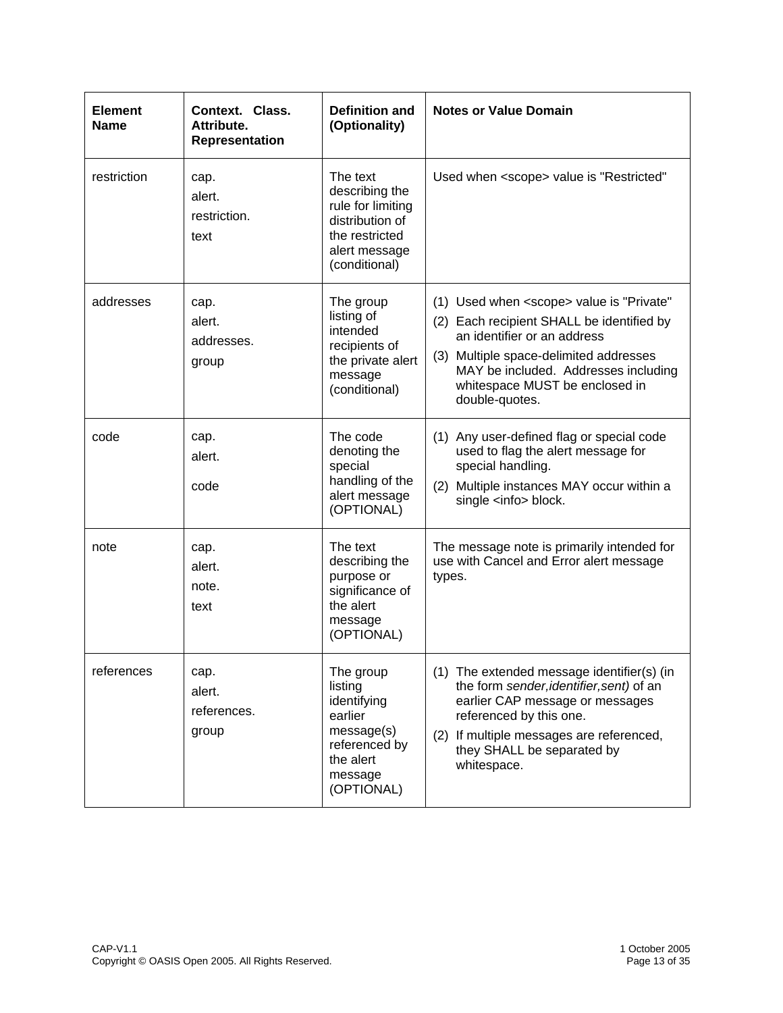| <b>Element</b><br><b>Name</b> | Context. Class.<br>Attribute.<br>Representation | <b>Definition and</b><br>(Optionality)                                                                                 | <b>Notes or Value Domain</b>                                                                                                                                                                                                                                             |
|-------------------------------|-------------------------------------------------|------------------------------------------------------------------------------------------------------------------------|--------------------------------------------------------------------------------------------------------------------------------------------------------------------------------------------------------------------------------------------------------------------------|
| restriction                   | cap.<br>alert.<br>restriction.<br>text          | The text<br>describing the<br>rule for limiting<br>distribution of<br>the restricted<br>alert message<br>(conditional) | Used when <scope> value is "Restricted"</scope>                                                                                                                                                                                                                          |
| addresses                     | cap.<br>alert.<br>addresses.<br>group           | The group<br>listing of<br>intended<br>recipients of<br>the private alert<br>message<br>(conditional)                  | (1) Used when <scope> value is "Private"<br/>(2) Each recipient SHALL be identified by<br/>an identifier or an address<br/>(3) Multiple space-delimited addresses<br/>MAY be included. Addresses including<br/>whitespace MUST be enclosed in<br/>double-quotes.</scope> |
| code                          | cap.<br>alert.<br>code                          | The code<br>denoting the<br>special<br>handling of the<br>alert message<br>(OPTIONAL)                                  | (1) Any user-defined flag or special code<br>used to flag the alert message for<br>special handling.<br>Multiple instances MAY occur within a<br>(2)<br>single <info> block.</info>                                                                                      |
| note                          | cap.<br>alert.<br>note.<br>text                 | The text<br>describing the<br>purpose or<br>significance of<br>the alert<br>message<br>(OPTIONAL)                      | The message note is primarily intended for<br>use with Cancel and Error alert message<br>types.                                                                                                                                                                          |
| references                    | cap.<br>alert.<br>references.<br>group          | The group<br>listing<br>identifying<br>earlier<br>message(s)<br>referenced by<br>the alert<br>message<br>(OPTIONAL)    | (1) The extended message identifier(s) (in<br>the form sender, identifier, sent) of an<br>earlier CAP message or messages<br>referenced by this one.<br>If multiple messages are referenced,<br>(2)<br>they SHALL be separated by<br>whitespace.                         |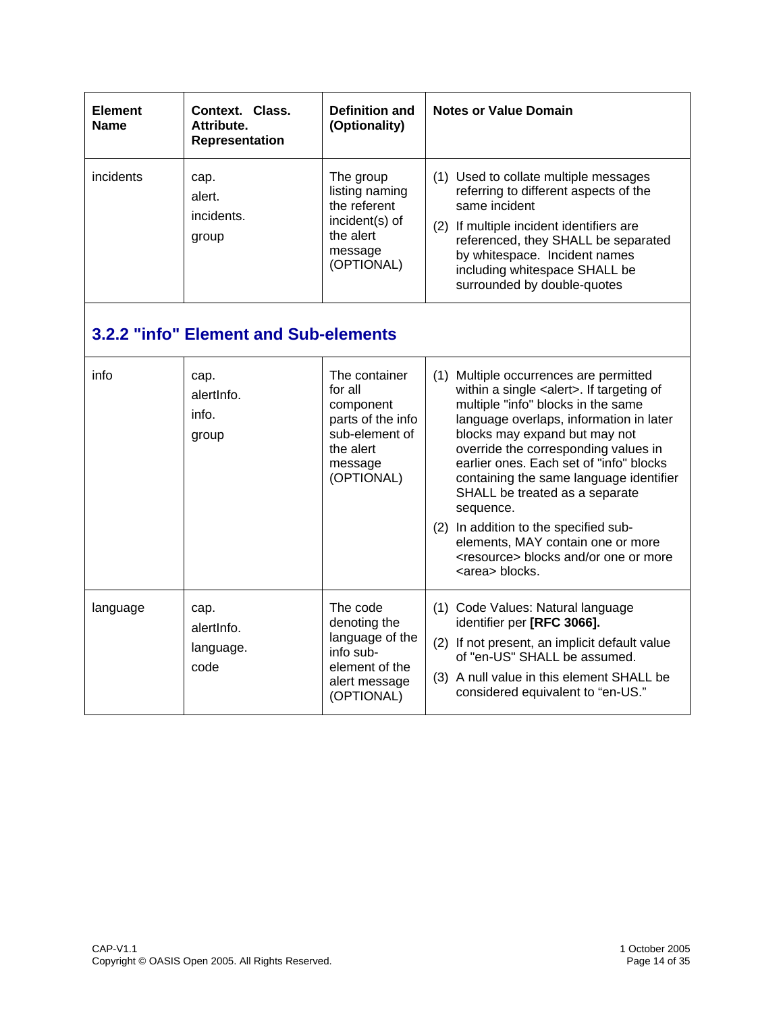| <b>Element</b><br><b>Name</b> | Context. Class.<br>Attribute.<br><b>Representation</b> | <b>Definition and</b><br>(Optionality)                                                                             | <b>Notes or Value Domain</b>                                                                                                                                                                                                                                                                                                                                                                                                                                                                                                                              |
|-------------------------------|--------------------------------------------------------|--------------------------------------------------------------------------------------------------------------------|-----------------------------------------------------------------------------------------------------------------------------------------------------------------------------------------------------------------------------------------------------------------------------------------------------------------------------------------------------------------------------------------------------------------------------------------------------------------------------------------------------------------------------------------------------------|
| incidents                     | cap.<br>alert.<br>incidents.<br>group                  | The group<br>listing naming<br>the referent<br>incident(s) of<br>the alert<br>message<br>(OPTIONAL)                | (1) Used to collate multiple messages<br>referring to different aspects of the<br>same incident<br>(2) If multiple incident identifiers are<br>referenced, they SHALL be separated<br>by whitespace. Incident names<br>including whitespace SHALL be<br>surrounded by double-quotes                                                                                                                                                                                                                                                                       |
|                               | 3.2.2 "info" Element and Sub-elements                  |                                                                                                                    |                                                                                                                                                                                                                                                                                                                                                                                                                                                                                                                                                           |
| info                          | cap.<br>alertinfo.<br>info.<br>group                   | The container<br>for all<br>component<br>parts of the info<br>sub-element of<br>the alert<br>message<br>(OPTIONAL) | (1) Multiple occurrences are permitted<br>within a single <alert>. If targeting of<br/>multiple "info" blocks in the same<br/>language overlaps, information in later<br/>blocks may expand but may not<br/>override the corresponding values in<br/>earlier ones. Each set of "info" blocks<br/>containing the same language identifier<br/>SHALL be treated as a separate<br/>sequence.<br/>(2) In addition to the specified sub-<br/>elements, MAY contain one or more<br/><resource> blocks and/or one or more<br/><area/> blocks.</resource></alert> |
| language                      | cap.<br>alertinfo.<br>language.<br>code                | The code<br>denoting the<br>language of the<br>info sub-<br>element of the<br>alert message<br>(OPTIONAL)          | (1) Code Values: Natural language<br>identifier per [RFC 3066].<br>(2) If not present, an implicit default value<br>of "en-US" SHALL be assumed.<br>(3) A null value in this element SHALL be<br>considered equivalent to "en-US."                                                                                                                                                                                                                                                                                                                        |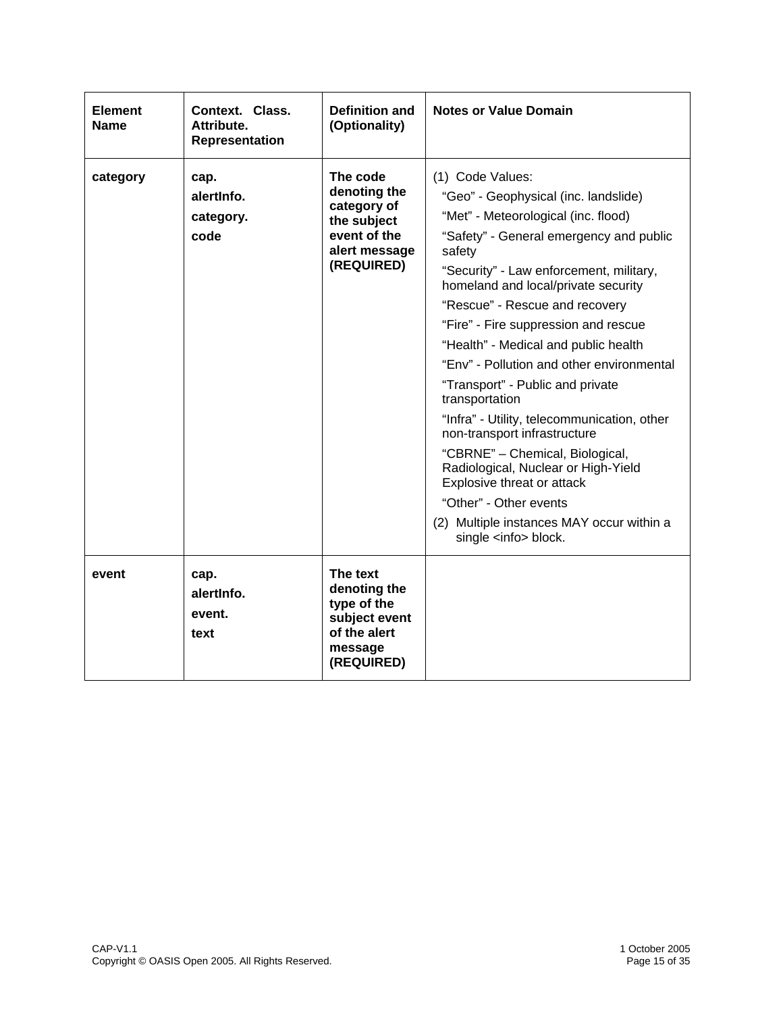| <b>Element</b><br>Name | Context. Class.<br>Attribute.<br><b>Representation</b> | <b>Definition and</b><br>(Optionality)                                                                | <b>Notes or Value Domain</b>                                                                                                                                                                                                                                                                                                                                                                                                                                                                                                                                                                                                                                                                                                                             |
|------------------------|--------------------------------------------------------|-------------------------------------------------------------------------------------------------------|----------------------------------------------------------------------------------------------------------------------------------------------------------------------------------------------------------------------------------------------------------------------------------------------------------------------------------------------------------------------------------------------------------------------------------------------------------------------------------------------------------------------------------------------------------------------------------------------------------------------------------------------------------------------------------------------------------------------------------------------------------|
| category               | cap.<br>alertinfo.<br>category.<br>code                | The code<br>denoting the<br>category of<br>the subject<br>event of the<br>alert message<br>(REQUIRED) | (1) Code Values:<br>"Geo" - Geophysical (inc. landslide)<br>"Met" - Meteorological (inc. flood)<br>"Safety" - General emergency and public<br>safety<br>"Security" - Law enforcement, military,<br>homeland and local/private security<br>"Rescue" - Rescue and recovery<br>"Fire" - Fire suppression and rescue<br>"Health" - Medical and public health<br>"Env" - Pollution and other environmental<br>"Transport" - Public and private<br>transportation<br>"Infra" - Utility, telecommunication, other<br>non-transport infrastructure<br>"CBRNE" - Chemical, Biological,<br>Radiological, Nuclear or High-Yield<br>Explosive threat or attack<br>"Other" - Other events<br>(2) Multiple instances MAY occur within a<br>single <info> block.</info> |
| event                  | cap.<br>alertinfo.<br>event.<br>text                   | The text<br>denoting the<br>type of the<br>subject event<br>of the alert<br>message<br>(REQUIRED)     |                                                                                                                                                                                                                                                                                                                                                                                                                                                                                                                                                                                                                                                                                                                                                          |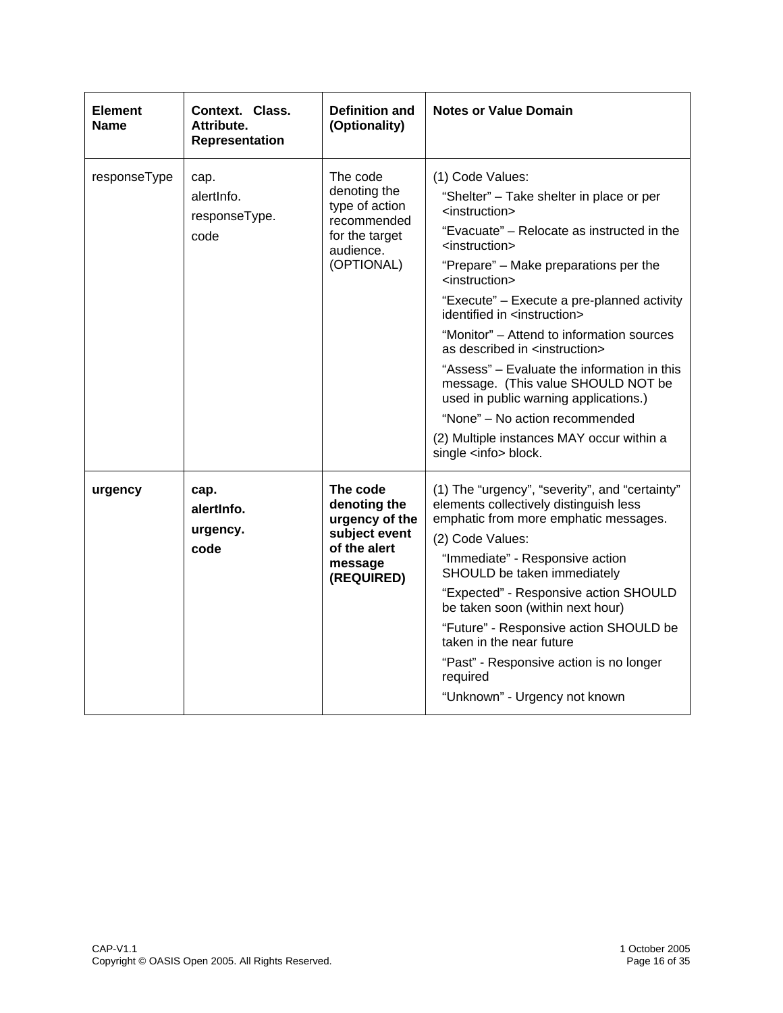| <b>Element</b><br><b>Name</b> | Context. Class.<br>Attribute.<br>Representation | <b>Definition and</b><br>(Optionality)                                                                 | <b>Notes or Value Domain</b>                                                                                                                                                                                                                                                                                                                                                                                                                                                                                                                                                                                                                                                                      |
|-------------------------------|-------------------------------------------------|--------------------------------------------------------------------------------------------------------|---------------------------------------------------------------------------------------------------------------------------------------------------------------------------------------------------------------------------------------------------------------------------------------------------------------------------------------------------------------------------------------------------------------------------------------------------------------------------------------------------------------------------------------------------------------------------------------------------------------------------------------------------------------------------------------------------|
| responseType                  | cap.<br>alertinfo.<br>responseType.<br>code     | The code<br>denoting the<br>type of action<br>recommended<br>for the target<br>audience.<br>(OPTIONAL) | (1) Code Values:<br>"Shelter" – Take shelter in place or per<br><instruction><br/>"Evacuate" – Relocate as instructed in the<br/><instruction><br/>"Prepare" - Make preparations per the<br/><instruction><br/>"Execute" – Execute a pre-planned activity<br/>identified in <instruction><br/>"Monitor" - Attend to information sources<br/>as described in <instruction><br/>"Assess" - Evaluate the information in this<br/>message. (This value SHOULD NOT be<br/>used in public warning applications.)<br/>"None" – No action recommended<br/>(2) Multiple instances MAY occur within a<br/>single <info> block.</info></instruction></instruction></instruction></instruction></instruction> |
| urgency                       | cap.<br>alertinfo.<br>urgency.<br>code          | The code<br>denoting the<br>urgency of the<br>subject event<br>of the alert<br>message<br>(REQUIRED)   | (1) The "urgency", "severity", and "certainty"<br>elements collectively distinguish less<br>emphatic from more emphatic messages.<br>(2) Code Values:<br>"Immediate" - Responsive action<br>SHOULD be taken immediately<br>"Expected" - Responsive action SHOULD<br>be taken soon (within next hour)<br>"Future" - Responsive action SHOULD be<br>taken in the near future<br>"Past" - Responsive action is no longer<br>required<br>"Unknown" - Urgency not known                                                                                                                                                                                                                                |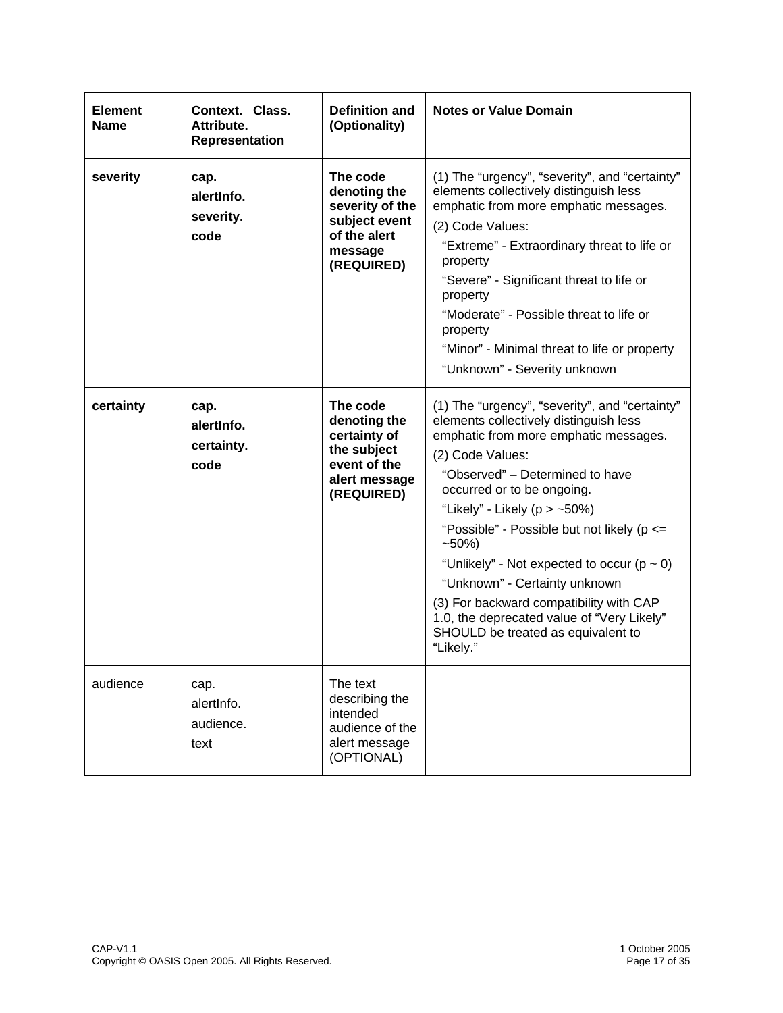| <b>Element</b><br>Name | <b>Context. Class.</b><br>Attribute.<br>Representation | <b>Definition and</b><br>(Optionality)                                                                 | <b>Notes or Value Domain</b>                                                                                                                                                                                                                                                                                                                                                                                                                                                                                                                                |
|------------------------|--------------------------------------------------------|--------------------------------------------------------------------------------------------------------|-------------------------------------------------------------------------------------------------------------------------------------------------------------------------------------------------------------------------------------------------------------------------------------------------------------------------------------------------------------------------------------------------------------------------------------------------------------------------------------------------------------------------------------------------------------|
| severity               | cap.<br>alertInfo.<br>severity.<br>code                | The code<br>denoting the<br>severity of the<br>subject event<br>of the alert<br>message<br>(REQUIRED)  | (1) The "urgency", "severity", and "certainty"<br>elements collectively distinguish less<br>emphatic from more emphatic messages.<br>(2) Code Values:<br>"Extreme" - Extraordinary threat to life or<br>property<br>"Severe" - Significant threat to life or<br>property<br>"Moderate" - Possible threat to life or<br>property<br>"Minor" - Minimal threat to life or property<br>"Unknown" - Severity unknown                                                                                                                                             |
| certainty              | cap.<br>alertinfo.<br>certainty.<br>code               | The code<br>denoting the<br>certainty of<br>the subject<br>event of the<br>alert message<br>(REQUIRED) | (1) The "urgency", "severity", and "certainty"<br>elements collectively distinguish less<br>emphatic from more emphatic messages.<br>(2) Code Values:<br>"Observed" - Determined to have<br>occurred or to be ongoing.<br>"Likely" - Likely ( $p > -50\%$ )<br>"Possible" - Possible but not likely ( $p \leq$<br>$-50\%$<br>"Unlikely" - Not expected to occur ( $p \sim 0$ )<br>"Unknown" - Certainty unknown<br>(3) For backward compatibility with CAP<br>1.0, the deprecated value of "Very Likely"<br>SHOULD be treated as equivalent to<br>"Likely." |
| audience               | cap.<br>alertInfo.<br>audience.<br>text                | The text<br>describing the<br>intended<br>audience of the<br>alert message<br>(OPTIONAL)               |                                                                                                                                                                                                                                                                                                                                                                                                                                                                                                                                                             |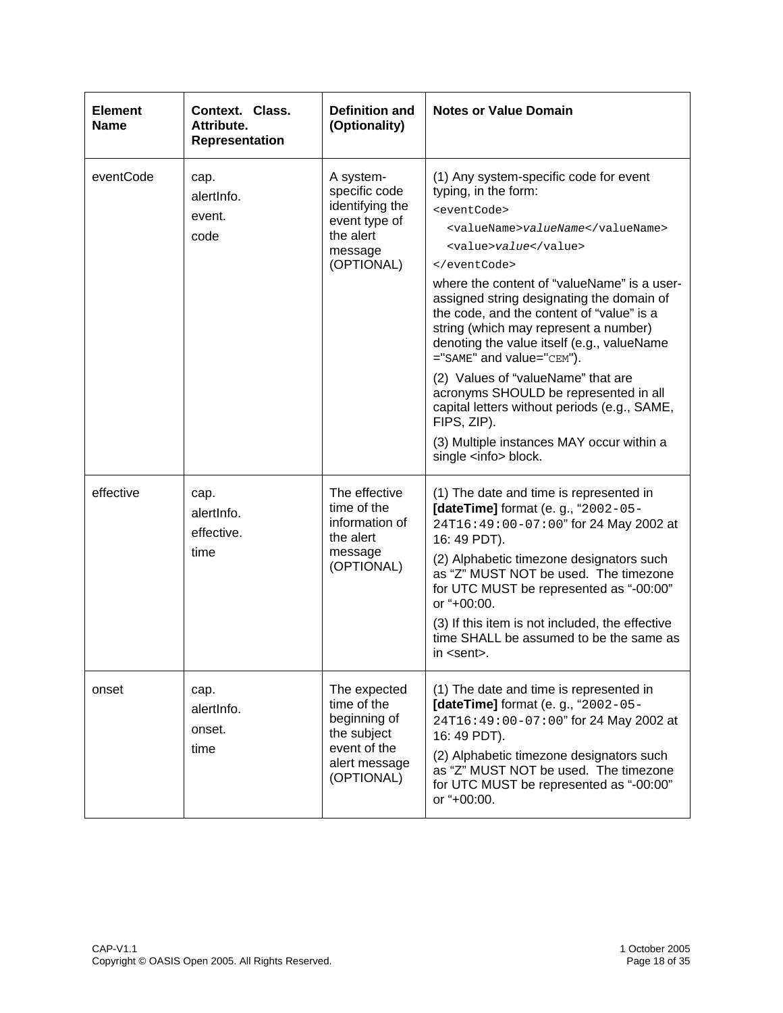| <b>Element</b><br><b>Name</b> | Context. Class.<br>Attribute.<br>Representation | <b>Definition and</b><br>(Optionality)                                                                    | <b>Notes or Value Domain</b>                                                                                                                                                                                                                                                                                                                                                                                                                                                                                                                                                                                                                        |
|-------------------------------|-------------------------------------------------|-----------------------------------------------------------------------------------------------------------|-----------------------------------------------------------------------------------------------------------------------------------------------------------------------------------------------------------------------------------------------------------------------------------------------------------------------------------------------------------------------------------------------------------------------------------------------------------------------------------------------------------------------------------------------------------------------------------------------------------------------------------------------------|
| eventCode                     | cap.<br>alertInfo.<br>event.<br>code            | A system-<br>specific code<br>identifying the<br>event type of<br>the alert<br>message<br>(OPTIONAL)      | (1) Any system-specific code for event<br>typing, in the form:<br><eventcode><br/><valuename>valueName</valuename><br/><value>value</value><br/></eventcode><br>where the content of "valueName" is a user-<br>assigned string designating the domain of<br>the code, and the content of "value" is a<br>string (which may represent a number)<br>denoting the value itself (e.g., valueName<br>="SAME" and value="CEM").<br>(2) Values of "valueName" that are<br>acronyms SHOULD be represented in all<br>capital letters without periods (e.g., SAME,<br>FIPS, ZIP).<br>(3) Multiple instances MAY occur within a<br>single <info> block.</info> |
| effective                     | cap.<br>alertInfo.<br>effective.<br>time        | The effective<br>time of the<br>information of<br>the alert<br>message<br>(OPTIONAL)                      | (1) The date and time is represented in<br>[dateTime] format (e. g., "2002-05-<br>24T16:49:00-07:00" for 24 May 2002 at<br>16: 49 PDT).<br>(2) Alphabetic timezone designators such<br>as "Z" MUST NOT be used. The timezone<br>for UTC MUST be represented as "-00:00"<br>or "+00:00.<br>(3) If this item is not included, the effective<br>time SHALL be assumed to be the same as<br>in <sent>.</sent>                                                                                                                                                                                                                                           |
| onset                         | cap.<br>alertInfo.<br>onset.<br>time            | The expected<br>time of the<br>beginning of<br>the subject<br>event of the<br>alert message<br>(OPTIONAL) | (1) The date and time is represented in<br>[dateTime] format (e. g., "2002-05-<br>24T16:49:00-07:00" for 24 May 2002 at<br>16: 49 PDT).<br>(2) Alphabetic timezone designators such<br>as "Z" MUST NOT be used. The timezone<br>for UTC MUST be represented as "-00:00"<br>or "+00:00.                                                                                                                                                                                                                                                                                                                                                              |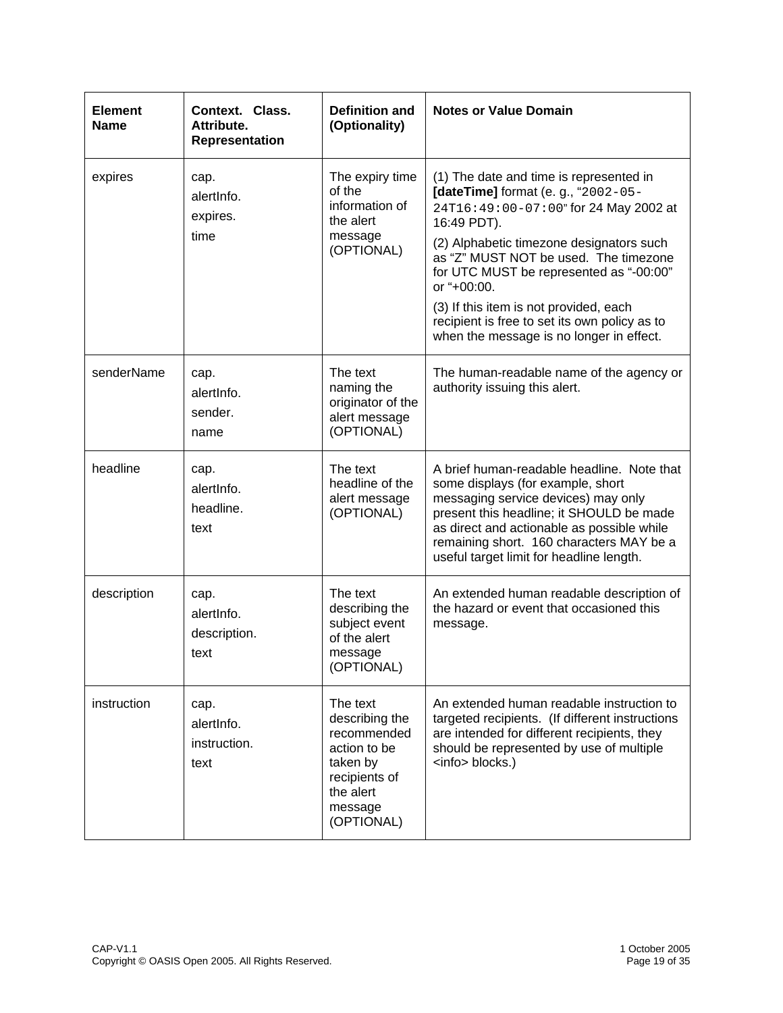| <b>Element</b><br><b>Name</b> | Context. Class.<br>Attribute.<br>Representation | <b>Definition and</b><br>(Optionality)                                                                                       | <b>Notes or Value Domain</b>                                                                                                                                                                                                                                                                                                                                                                                                 |
|-------------------------------|-------------------------------------------------|------------------------------------------------------------------------------------------------------------------------------|------------------------------------------------------------------------------------------------------------------------------------------------------------------------------------------------------------------------------------------------------------------------------------------------------------------------------------------------------------------------------------------------------------------------------|
| expires                       | cap.<br>alertInfo.<br>expires.<br>time          | The expiry time<br>of the<br>information of<br>the alert<br>message<br>(OPTIONAL)                                            | (1) The date and time is represented in<br>[dateTime] format (e. g., "2002-05-<br>24T16:49:00-07:00" for 24 May 2002 at<br>16:49 PDT).<br>(2) Alphabetic timezone designators such<br>as "Z" MUST NOT be used. The timezone<br>for UTC MUST be represented as "-00:00"<br>or "+00:00.<br>(3) If this item is not provided, each<br>recipient is free to set its own policy as to<br>when the message is no longer in effect. |
| senderName                    | cap.<br>alertinfo.<br>sender.<br>name           | The text<br>naming the<br>originator of the<br>alert message<br>(OPTIONAL)                                                   | The human-readable name of the agency or<br>authority issuing this alert.                                                                                                                                                                                                                                                                                                                                                    |
| headline                      | cap.<br>alertInfo.<br>headline.<br>text         | The text<br>headline of the<br>alert message<br>(OPTIONAL)                                                                   | A brief human-readable headline. Note that<br>some displays (for example, short<br>messaging service devices) may only<br>present this headline; it SHOULD be made<br>as direct and actionable as possible while<br>remaining short. 160 characters MAY be a<br>useful target limit for headline length.                                                                                                                     |
| description                   | cap.<br>alertInfo.<br>description.<br>text      | The text<br>describing the<br>subject event<br>of the alert<br>message<br>(OPTIONAL)                                         | An extended human readable description of<br>the hazard or event that occasioned this<br>message.                                                                                                                                                                                                                                                                                                                            |
| instruction                   | cap.<br>alertinfo.<br>instruction.<br>text      | The text<br>describing the<br>recommended<br>action to be<br>taken by<br>recipients of<br>the alert<br>message<br>(OPTIONAL) | An extended human readable instruction to<br>targeted recipients. (If different instructions<br>are intended for different recipients, they<br>should be represented by use of multiple<br><info> blocks.)</info>                                                                                                                                                                                                            |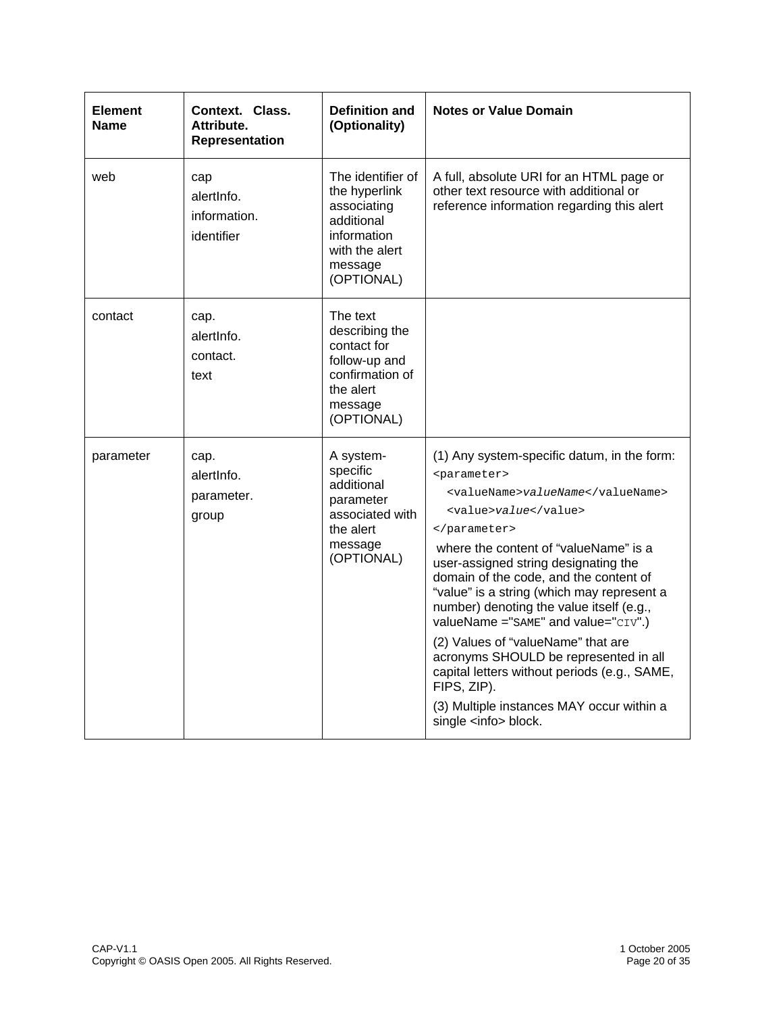| <b>Element</b><br><b>Name</b> | Context. Class.<br>Attribute.<br>Representation | Definition and<br>(Optionality)                                                                                           | <b>Notes or Value Domain</b>                                                                                                                                                                                                                                                                                                                                                                                                                                                                                                                                                                                                          |
|-------------------------------|-------------------------------------------------|---------------------------------------------------------------------------------------------------------------------------|---------------------------------------------------------------------------------------------------------------------------------------------------------------------------------------------------------------------------------------------------------------------------------------------------------------------------------------------------------------------------------------------------------------------------------------------------------------------------------------------------------------------------------------------------------------------------------------------------------------------------------------|
| web                           | cap<br>alertinfo.<br>information.<br>identifier | The identifier of<br>the hyperlink<br>associating<br>additional<br>information<br>with the alert<br>message<br>(OPTIONAL) | A full, absolute URI for an HTML page or<br>other text resource with additional or<br>reference information regarding this alert                                                                                                                                                                                                                                                                                                                                                                                                                                                                                                      |
| contact                       | cap.<br>alertinfo.<br>contact.<br>text          | The text<br>describing the<br>contact for<br>follow-up and<br>confirmation of<br>the alert<br>message<br>(OPTIONAL)       |                                                                                                                                                                                                                                                                                                                                                                                                                                                                                                                                                                                                                                       |
| parameter                     | cap.<br>alertinfo.<br>parameter.<br>group       | A system-<br>specific<br>additional<br>parameter<br>associated with<br>the alert<br>message<br>(OPTIONAL)                 | (1) Any system-specific datum, in the form:<br><parameter><br/><valuename>valueName</valuename><br/><value>value</value><br/></parameter><br>where the content of "valueName" is a<br>user-assigned string designating the<br>domain of the code, and the content of<br>"value" is a string (which may represent a<br>number) denoting the value itself (e.g.,<br>$valueName = "SAME"$ and $value = "CIV".$<br>(2) Values of "valueName" that are<br>acronyms SHOULD be represented in all<br>capital letters without periods (e.g., SAME,<br>FIPS, ZIP).<br>(3) Multiple instances MAY occur within a<br>single <info> block.</info> |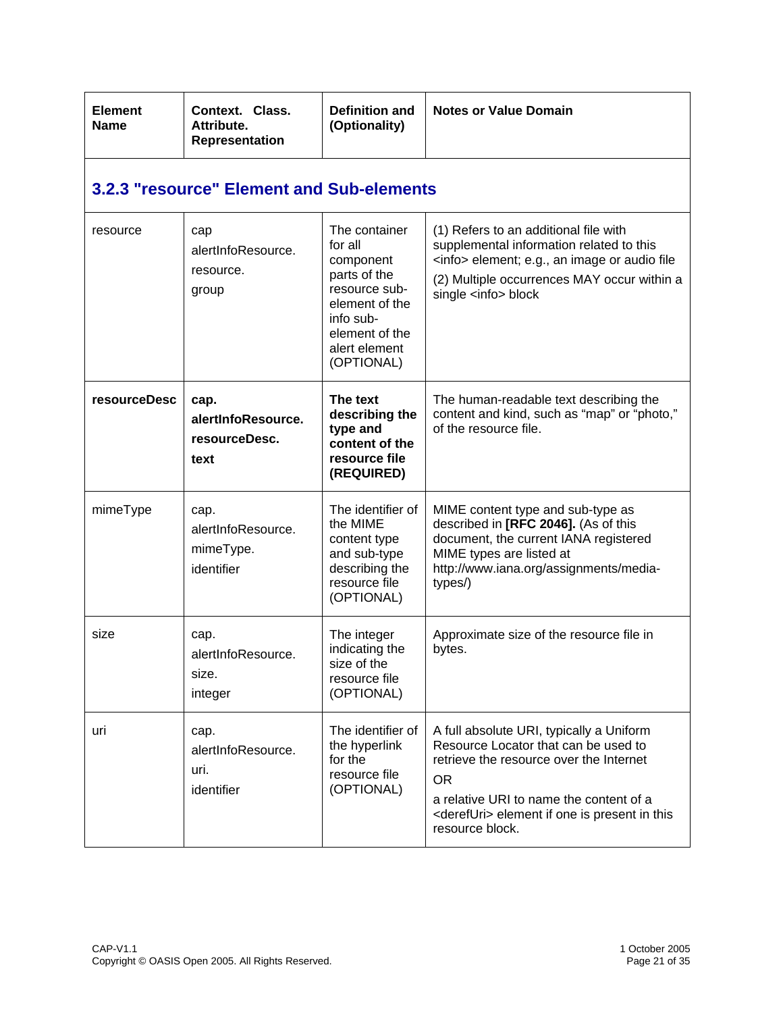| <b>Element</b><br>Name | Context. Class.<br>Attribute.<br><b>Representation</b> | <b>Definition and</b><br>(Optionality)                                                                                                                 | <b>Notes or Value Domain</b>                                                                                                                                                                                                                                       |
|------------------------|--------------------------------------------------------|--------------------------------------------------------------------------------------------------------------------------------------------------------|--------------------------------------------------------------------------------------------------------------------------------------------------------------------------------------------------------------------------------------------------------------------|
|                        | <b>3.2.3 "resource" Element and Sub-elements</b>       |                                                                                                                                                        |                                                                                                                                                                                                                                                                    |
| resource               | cap<br>alertInfoResource.<br>resource.<br>group        | The container<br>for all<br>component<br>parts of the<br>resource sub-<br>element of the<br>info sub-<br>element of the<br>alert element<br>(OPTIONAL) | (1) Refers to an additional file with<br>supplemental information related to this<br><info> element; e.g., an image or audio file<br/>(2) Multiple occurrences MAY occur within a<br/>single <info> block</info></info>                                            |
| <b>resourceDesc</b>    | cap.<br>alertInfoResource.<br>resourceDesc.<br>text    | The text<br>describing the<br>type and<br>content of the<br>resource file<br>(REQUIRED)                                                                | The human-readable text describing the<br>content and kind, such as "map" or "photo,"<br>of the resource file.                                                                                                                                                     |
| mimeType               | cap.<br>alertInfoResource.<br>mimeType.<br>identifier  | The identifier of<br>the MIME<br>content type<br>and sub-type<br>describing the<br>resource file<br>(OPTIONAL)                                         | MIME content type and sub-type as<br>described in [RFC 2046]. (As of this<br>document, the current IANA registered<br>MIME types are listed at<br>http://www.iana.org/assignments/media-<br>types/)                                                                |
| size                   | cap.<br>alertInfoResource.<br>size.<br>integer         | The integer<br>indicating the<br>size of the<br>resource file<br>(OPTIONAL)                                                                            | Approximate size of the resource file in<br>bytes.                                                                                                                                                                                                                 |
| uri                    | cap.<br>alertInfoResource.<br>uri.<br>identifier       | The identifier of<br>the hyperlink<br>for the<br>resource file<br>(OPTIONAL)                                                                           | A full absolute URI, typically a Uniform<br>Resource Locator that can be used to<br>retrieve the resource over the Internet<br><b>OR</b><br>a relative URI to name the content of a<br><derefuri> element if one is present in this<br/>resource block.</derefuri> |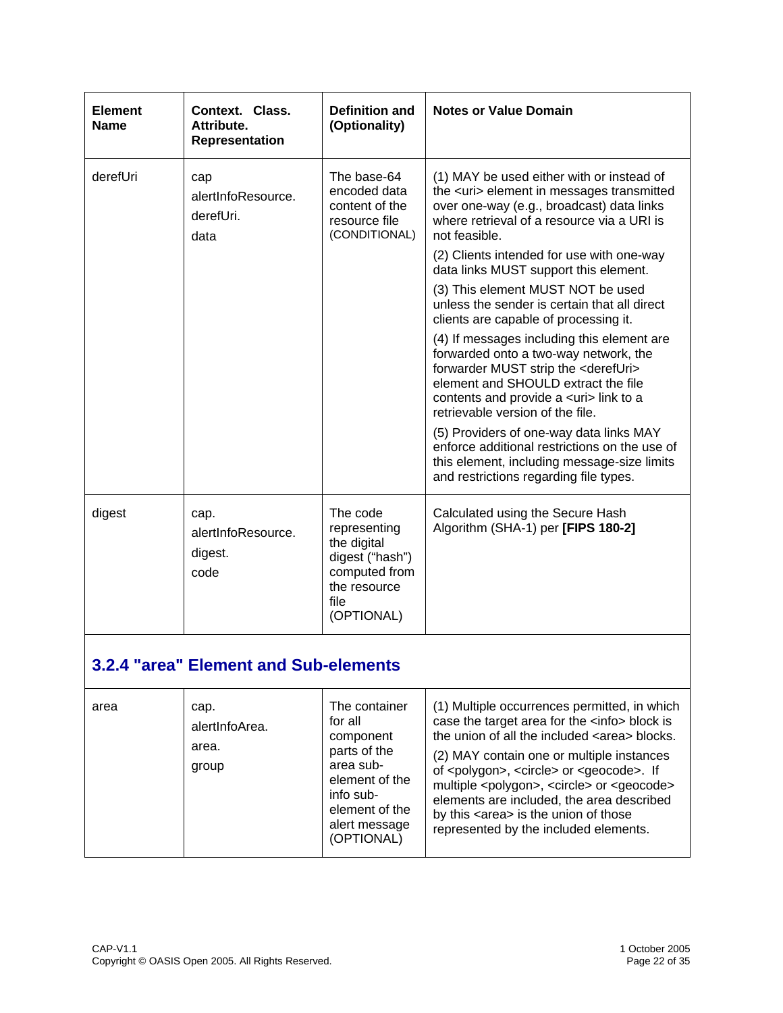| Context. Class.<br>Attribute.<br>Representation | <b>Definition and</b><br>(Optionality)                                                                            | <b>Notes or Value Domain</b>                                                                                                                                                                                                                                        |
|-------------------------------------------------|-------------------------------------------------------------------------------------------------------------------|---------------------------------------------------------------------------------------------------------------------------------------------------------------------------------------------------------------------------------------------------------------------|
| cap<br>alertInfoResource.<br>derefUri.<br>data  | The base-64<br>encoded data<br>content of the<br>resource file<br>(CONDITIONAL)                                   | (1) MAY be used either with or instead of<br>the <uri> element in messages transmitted<br/>over one-way (e.g., broadcast) data links<br/>where retrieval of a resource via a URI is<br/>not feasible.</uri>                                                         |
|                                                 |                                                                                                                   | (2) Clients intended for use with one-way<br>data links MUST support this element.                                                                                                                                                                                  |
|                                                 |                                                                                                                   | (3) This element MUST NOT be used<br>unless the sender is certain that all direct<br>clients are capable of processing it.                                                                                                                                          |
|                                                 |                                                                                                                   | (4) If messages including this element are<br>forwarded onto a two-way network, the<br>forwarder MUST strip the <derefuri><br/>element and SHOULD extract the file<br/>contents and provide a <uri> link to a<br/>retrievable version of the file.</uri></derefuri> |
|                                                 |                                                                                                                   | (5) Providers of one-way data links MAY<br>enforce additional restrictions on the use of<br>this element, including message-size limits<br>and restrictions regarding file types.                                                                                   |
| cap.<br>alertInfoResource.<br>digest.<br>code   | The code<br>representing<br>the digital<br>digest ("hash")<br>computed from<br>the resource<br>file<br>(OPTIONAL) | Calculated using the Secure Hash<br>Algorithm (SHA-1) per [FIPS 180-2]                                                                                                                                                                                              |
|                                                 |                                                                                                                   |                                                                                                                                                                                                                                                                     |

| area | cap.<br>alertInfoArea.<br>area.<br>group | The container<br>for all<br>component<br>parts of the<br>area sub-<br>element of the<br>info sub-<br>element of the<br>alert message<br>(OPTIONAL) | (1) Multiple occurrences permitted, in which<br>case the target area for the <info> block is<br/>the union of all the included <area/> blocks.<br/>(2) MAY contain one or multiple instances<br/>of <polygon>, <circle> or <geocode>. If<br/>multiple <polygon>, <circle> or <geocode><br/>elements are included, the area described<br/>by this <area/> is the union of those<br/>represented by the included elements.</geocode></circle></polygon></geocode></circle></polygon></info> |
|------|------------------------------------------|----------------------------------------------------------------------------------------------------------------------------------------------------|-------------------------------------------------------------------------------------------------------------------------------------------------------------------------------------------------------------------------------------------------------------------------------------------------------------------------------------------------------------------------------------------------------------------------------------------------------------------------------------------|
|------|------------------------------------------|----------------------------------------------------------------------------------------------------------------------------------------------------|-------------------------------------------------------------------------------------------------------------------------------------------------------------------------------------------------------------------------------------------------------------------------------------------------------------------------------------------------------------------------------------------------------------------------------------------------------------------------------------------|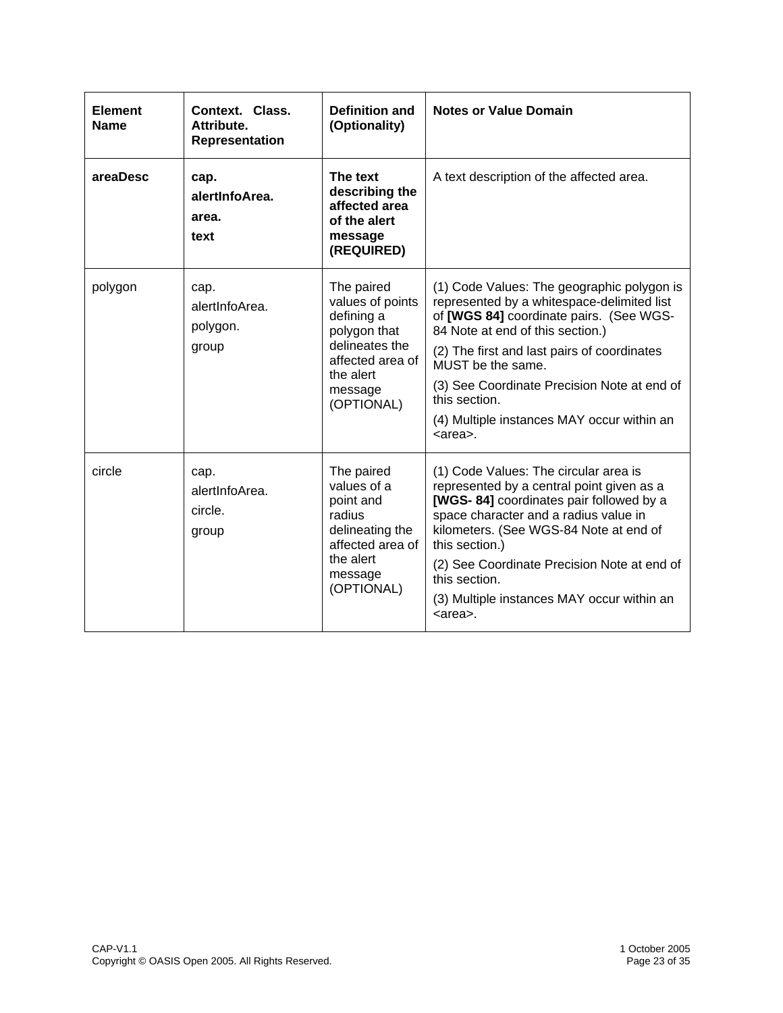| <b>Element</b><br><b>Name</b> | Context. Class.<br>Attribute.<br>Representation | <b>Definition and</b><br>(Optionality)                                                                                                   | <b>Notes or Value Domain</b>                                                                                                                                                                                                                                                                                                                                           |
|-------------------------------|-------------------------------------------------|------------------------------------------------------------------------------------------------------------------------------------------|------------------------------------------------------------------------------------------------------------------------------------------------------------------------------------------------------------------------------------------------------------------------------------------------------------------------------------------------------------------------|
| areaDesc                      | cap.<br>alertInfoArea.<br>area.<br>text         | The text<br>describing the<br>affected area<br>of the alert<br>message<br>(REQUIRED)                                                     | A text description of the affected area.                                                                                                                                                                                                                                                                                                                               |
| polygon                       | cap.<br>alertInfoArea.<br>polygon.<br>group     | The paired<br>values of points<br>defining a<br>polygon that<br>delineates the<br>affected area of<br>the alert<br>message<br>(OPTIONAL) | (1) Code Values: The geographic polygon is<br>represented by a whitespace-delimited list<br>of [WGS 84] coordinate pairs. (See WGS-<br>84 Note at end of this section.)<br>(2) The first and last pairs of coordinates<br>MUST be the same.<br>(3) See Coordinate Precision Note at end of<br>this section.<br>(4) Multiple instances MAY occur within an<br><area/> . |
| circle                        | cap.<br>alertInfoArea.<br>circle.<br>group      | The paired<br>values of a<br>point and<br>radius<br>delineating the<br>affected area of<br>the alert<br>message<br>(OPTIONAL)            | (1) Code Values: The circular area is<br>represented by a central point given as a<br>[WGS-84] coordinates pair followed by a<br>space character and a radius value in<br>kilometers. (See WGS-84 Note at end of<br>this section.)<br>(2) See Coordinate Precision Note at end of<br>this section.<br>(3) Multiple instances MAY occur within an<br><area/> .          |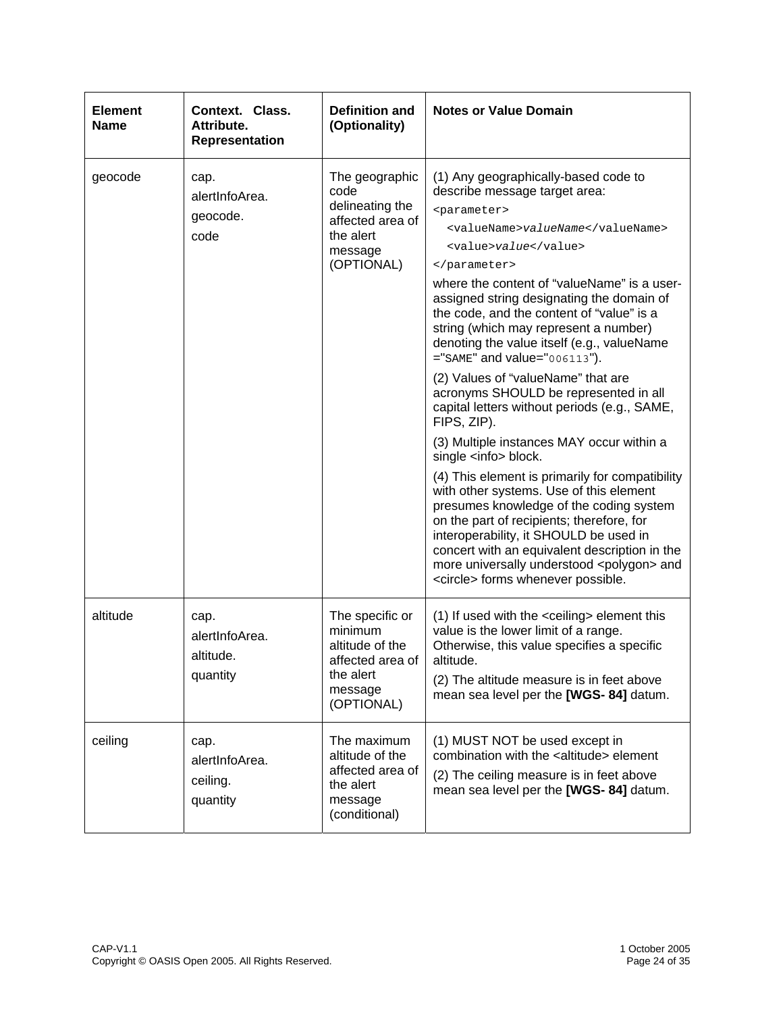| <b>Element</b><br>Name | Context. Class.<br>Attribute.<br>Representation | <b>Definition and</b><br>(Optionality)                                                                  | <b>Notes or Value Domain</b>                                                                                                                                                                                                                                                                                                                                                                                                                                                                                                                                                                                                                                                                                                                                                                                                                                                                                                                                                                                                                                   |
|------------------------|-------------------------------------------------|---------------------------------------------------------------------------------------------------------|----------------------------------------------------------------------------------------------------------------------------------------------------------------------------------------------------------------------------------------------------------------------------------------------------------------------------------------------------------------------------------------------------------------------------------------------------------------------------------------------------------------------------------------------------------------------------------------------------------------------------------------------------------------------------------------------------------------------------------------------------------------------------------------------------------------------------------------------------------------------------------------------------------------------------------------------------------------------------------------------------------------------------------------------------------------|
| geocode                | cap.<br>alertInfoArea.<br>geocode.<br>code      | The geographic<br>code<br>delineating the<br>affected area of<br>the alert<br>message<br>(OPTIONAL)     | (1) Any geographically-based code to<br>describe message target area:<br><parameter><br/><valuename>valueName</valuename><br/><value>value</value><br/></parameter><br>where the content of "valueName" is a user-<br>assigned string designating the domain of<br>the code, and the content of "value" is a<br>string (which may represent a number)<br>denoting the value itself (e.g., valueName<br>$=$ "SAME" and value="006113").<br>(2) Values of "valueName" that are<br>acronyms SHOULD be represented in all<br>capital letters without periods (e.g., SAME,<br>FIPS, ZIP).<br>(3) Multiple instances MAY occur within a<br>single <info> block.<br/>(4) This element is primarily for compatibility<br/>with other systems. Use of this element<br/>presumes knowledge of the coding system<br/>on the part of recipients; therefore, for<br/>interoperability, it SHOULD be used in<br/>concert with an equivalent description in the<br/>more universally understood <polygon> and<br/><circle> forms whenever possible.</circle></polygon></info> |
| altitude               | cap.<br>alertInfoArea.<br>altitude.<br>quantity | The specific or<br>minimum<br>altitude of the<br>affected area of<br>the alert<br>message<br>(OPTIONAL) | (1) If used with the <ceiling> element this<br/>value is the lower limit of a range.<br/>Otherwise, this value specifies a specific<br/>altitude.<br/>(2) The altitude measure is in feet above<br/>mean sea level per the [WGS- 84] datum.</ceiling>                                                                                                                                                                                                                                                                                                                                                                                                                                                                                                                                                                                                                                                                                                                                                                                                          |
| ceiling                | cap.<br>alertInfoArea.<br>ceiling.<br>quantity  | The maximum<br>altitude of the<br>affected area of<br>the alert<br>message<br>(conditional)             | (1) MUST NOT be used except in<br>combination with the <altitude> element<br/>(2) The ceiling measure is in feet above<br/>mean sea level per the [WGS- 84] datum.</altitude>                                                                                                                                                                                                                                                                                                                                                                                                                                                                                                                                                                                                                                                                                                                                                                                                                                                                                  |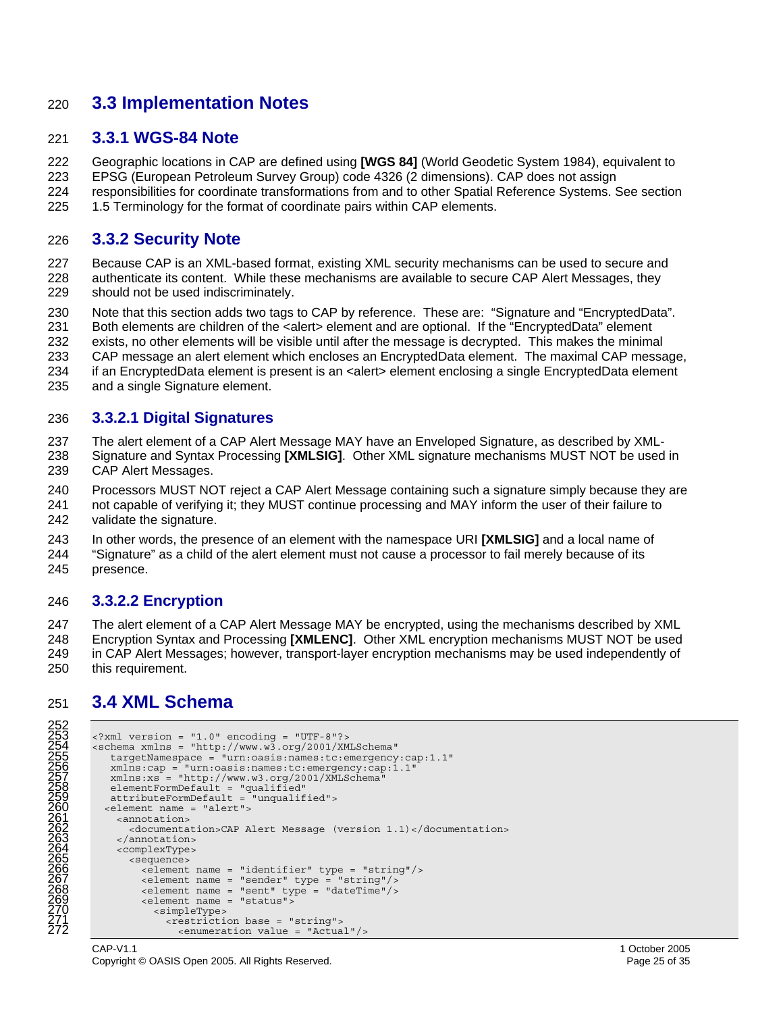#### 220 **3.3 Implementation Notes**

#### 221 **3.3.1 WGS-84 Note**

222 Geographic locations in CAP are defined using **[WGS 84]** (World Geodetic System 1984), equivalent to 223 EPSG (European Petroleum Survey Group) code 4326 (2 dimensions). CAP does not assign 224 responsibilities for coordinate transformations from and to other Spatial Reference Systems. See section

225 1.5 Terminology for the format of coordinate pairs within CAP elements.

#### 226 **3.3.2 Security Note**

- 227 Because CAP is an XML-based format, existing XML security mechanisms can be used to secure and 228 authenticate its content. While these mechanisms are available to secure CAP Alert Messages, they 229 should not be used indiscriminately.
- 230 Note that this section adds two tags to CAP by reference. These are: "Signature and "EncryptedData".
- 231 Both elements are children of the <alert> element and are optional. If the "EncryptedData" element
- 232 exists, no other elements will be visible until after the message is decrypted. This makes the minimal
- 233 CAP message an alert element which encloses an EncryptedData element. The maximal CAP message,
- 234 if an EncryptedData element is present is an <alert> element enclosing a single EncryptedData element
- 235 and a single Signature element.

#### 236 **3.3.2.1 Digital Signatures**

237 The alert element of a CAP Alert Message MAY have an Enveloped Signature, as described by XML-

- 238 Signature and Syntax Processing **[XMLSIG]**. Other XML signature mechanisms MUST NOT be used in 239 CAP Alert Messages.
- 240 Processors MUST NOT reject a CAP Alert Message containing such a signature simply because they are 241 not capable of verifying it; they MUST continue processing and MAY inform the user of their failure to 242 validate the signature.
- 243 In other words, the presence of an element with the namespace URI **[XMLSIG]** and a local name of
- 244 "Signature" as a child of the alert element must not cause a processor to fail merely because of its 245 presence.

#### 246 **3.3.2.2 Encryption**

247 The alert element of a CAP Alert Message MAY be encrypted, using the mechanisms described by XML 248 Encryption Syntax and Processing **[XMLENC]**. Other XML encryption mechanisms MUST NOT be used 249 in CAP Alert Messages; however, transport-layer encryption mechanisms may be used independently of 250 this requirement.

#### 251 **3.4 XML Schema**

252

```
\epsilon?xml version = "1.0" encoding = "UTF-8"?>
        <schema xmlns = "http://www.w3.org/2001/XMLSchema"
           255 targetNamespace = "urn:oasis:names:tc:emergency:cap:1.1" 
           256 xmlns:cap = "urn:oasis:names:tc:emergency:cap:1.1" 
           257 xmlns:xs = "http://www.w3.org/2001/XMLSchema" 
           elementFormDefault = "qualified"
           259 attributeFormDefault = "unqualified"> 
          260 <element name = "alert"> 
            <annotation>
               262 <documentation>CAP Alert Message (version 1.1)</documentation> 
            263 </annotation> 
             <complexType>
               265 <sequence> 
                 <element name = "identifier" type = "string"/>
267 (Summar name = "sender" type = "string"/><br>268 (Summar = "sent" type = "string"/><br>269 (Summar = "status">
                 <element name = "status"><br>
<simpleType>
                      <restriction base = "string">
                         <enumeration value = "Actual"/>
```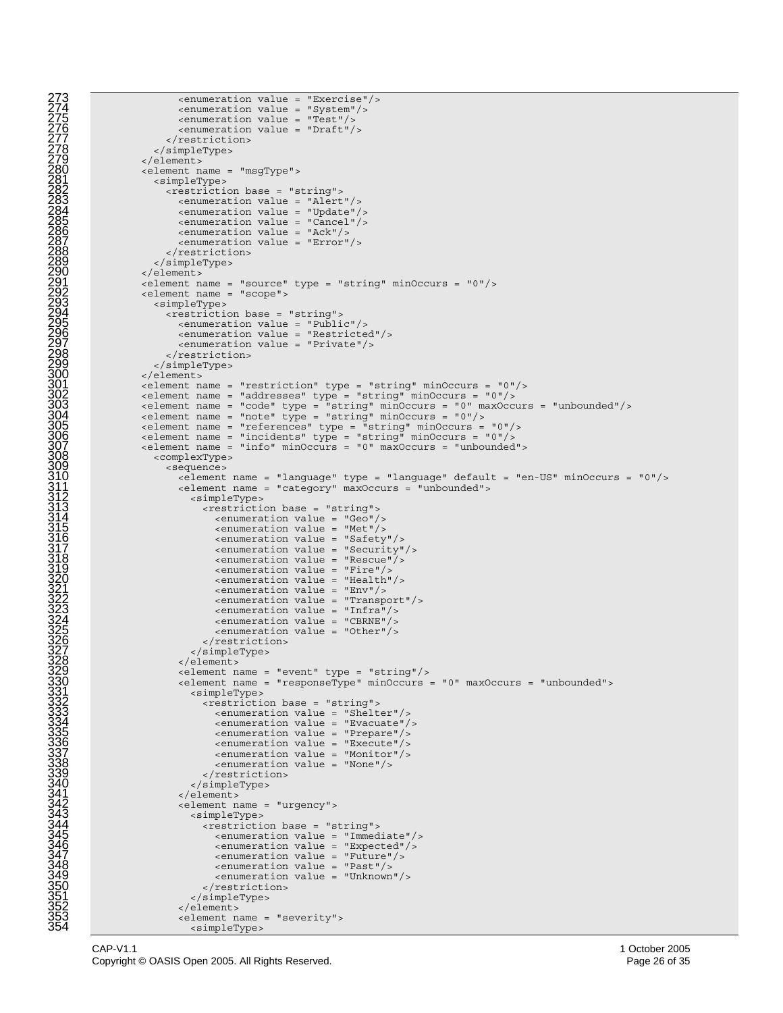```
273<br>
2774<br>
2774<br>
2774<br>
2774<br>
2774<br>
2774<br>
2774<br>
2774<br>
2774<br>
2774<br>
2774<br>
2774<br>
2774<br>
2774<br>
2774<br>
2774<br>
2774<br>
2774<br>
2774<br>
2774<br>
2774<br>
2774<br>
2774<br>
2774<br>
2774<br>
2774<br>
2774<br>

                            <enumeration value = "System"/>
                            \epsilonenumeration value = "Test"/>
                            <enumeration value = "Draft"/>
                         </restriction>
                    278</simpleType> 279 </element> 
                    280 <element name = "msgType"> 
                       281 <simpleType> 
                         <restriction base = "string">
                            <enumeration value = "Alert"/>
                            <enumeration value = "Update"/>
                            <enumeration value = "Cancel"/>
                            <enumeration value = "Ack"/>
                            <enumeration value = "Error"/>
                          </restriction>
                       </simpleType>
                    \langleelement>
                    \epsilon-element name = "source" type = "string" minOccurs = "0"/>
                    <element name = "scope">
                       293 <simpleType> 
                         <restriction base = "string">
                            295 <enumeration value = "Public"/> 
                            296 <enumeration value = "Restricted"/> 
                            <enumeration value = "Private"/>
                       </restriction><br></simpleType>
299</simpleType> 300 </element> 301 <element name = "restriction" type = "string" minOccurs = "0"/> 
302 <element name = "addresses" type = "string" minOccurs = "0"/>
                    303<element name = "code" type = "string" minOccurs = "0" maxOccurs = "unbounded"/> 304 <element name = "note" type = "string" minOccurs = "0"/> 
305 <element name = "references" type = "string" minOccurs = "0"/><br>306 <element name = "incidents" type = "string" minOccurs = "0"/><br>307 <element name = "info" minOccurs = "0" maxOccurs = "unbounded">
                       308 <complexType> 
                          309<sequence> 310 <element name = "language" type = "language" default = "en-US" minOccurs = "0"/> 
                            311 <element name = "category" maxOccurs = "unbounded"> 
                                  <restriction base = "string">
                                    314 <enumeration value = "Geo"/> 
                                     315 <enumeration value = "Met"/> 
                                     316 <enumeration value = "Safety"/> 
                                     317 <enumeration value = "Security"/> 
                                     318 <enumeration value = "Rescue"/> 
                                     319 <enumeration value = "Fire"/> 
                                     320 <enumeration value = "Health"/> 
                                     321 <enumeration value = "Env"/> 
                                     322 <enumeration value = "Transport"/> 
                                    <enumeration value = "Infra"/>
                                    324 <enumeration value = "CBRNE"/> 
                                     325 <enumeration value = "Other"/> 
                                  </restriction>
                               327 </simpleType> 
                            \alpha/element>
                            \epsilonelement name = "event" type = "string"/>
                            330<element name = "responseType" minOccurs = "0" maxOccurs = "unbounded"> 331 <simpleType> 
                                  332 <restriction base = "string"> 
                                     <enumeration value = "Evacuate"/>
                                    335 <enumeration value = "Prepare"/> 
                                    336<enumeration value = "Execute"/> 337 <enumeration value = "Monitor"/> 
                                     338 <enumeration value = "None"/> 
                               339</restriction> 340 </simpleType> 
                            341 </element> 
                            342<element name = "urgency"> 343 <simpleType> 
                                  <restriction base = "string">
                                     345 <enumeration value = "Immediate"/> 
                                     346 <enumeration value = "Expected"/> 
                                     347 <enumeration value = "Future"/> 
                                     348 <enumeration value = "Past"/> 
                                     349 <enumeration value = "Unknown"/> 
                                  </restriction>
                                351 </simpleType> 
                            352 </element> 
                            353 <element name = "severity"> 
                               354 <simpleType>
```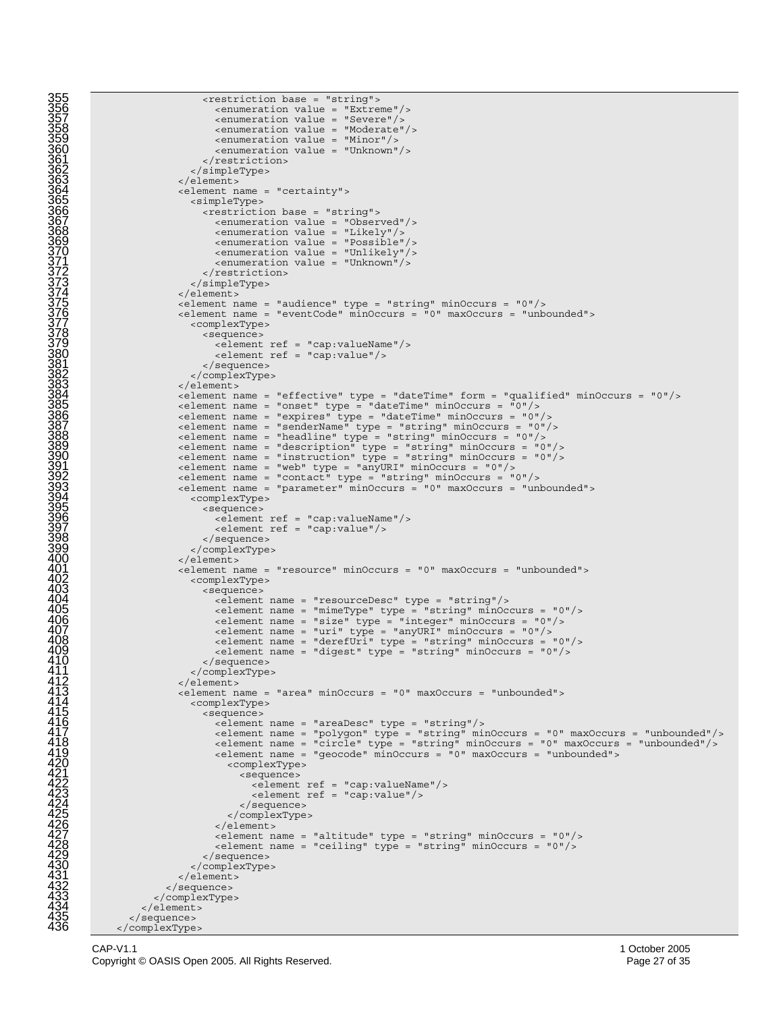```
355 <restriction base = "string"> 
                                           356 <enumeration value = "Extreme"/> 
                                           357 <enumeration value = "Severe"/> 
                                           358 <enumeration value = "Moderate"/> 
                                           359 <enumeration value = "Minor"/> 
                                        360<enumeration value = "Unknown"/> 361 </restriction> 
                                     362 </simpleType> 
                                 363 </element> 
                                 364 <element name = "certainty"> 
                                    365 <simpleType> 
                                       <restriction base = "string">
                                           367 <enumeration value = "Observed"/> 
                                           368 <enumeration value = "Likely"/> 
                                           369 <enumeration value = "Possible"/> 
                                           370 <enumeration value = "Unlikely"/> 
                                           <enumeration value = "Unknown"/>
                                        </restriction>
                                     373 </simpleType> 
                                 \langleelement>
                                 \epsilonelement name = "audience" type = "string" minOccurs = "0"/>
                                 \epsilon-element name = "eventCode" \overline{m}inOccurs = "0" \overline{m}axOccurs = "unbounded">
                                    <complexType>
                                       378 <sequence> 
                                           379 <element ref = "cap:valueName"/> 
                                           \epsilonelement ref = "cap:value"/>
381</sequence> 382 </complexType> 383 </element> 
                                 s/elements<br>
s/elements = "effective" type = "dateTime" form = "qualified" minOccurs = "0"/>
                                 385<element name = "onset" type = "dateTime" minOccurs = "0"/> 386 <element name = "expires" type = "dateTime" minOccurs = "0"/> 
387 <element name = "senderName" type = "string" minOccurs = "0"/> 
388<element name = "headline" type = "string" minOccurs = "0"/> 389 <element name = "description" type = "string" minOccurs = "0"/> 
390 \leq \leq \leq \leq \leq \leq \leq \leq \leq \leq \leq \leq \leq \leq \leq \leq \leq \leq \leq \leq \leq \leq \leq \leq \leq \leq \leq \leq \leq \leq \leq \leq \leq \leq \leq \leq391<element name = "web" type = "anyURI" minOccurs = "0"/> 392 <element name = "contact" type = "string" minOccurs = "0"/> 
393 \leq \leq \leq \leq \leq \leq \leq \leq \leq \leq \leq \leq \leq \leq \leq \leq \leq \leq \leq \leq \leq \leq \leq \leq \leq \leq \leq \leq \leq \leq \leq \leq \leq \leq \leq \leq394<complexType> 395 <sequence> 
                                           396 <element ref = "cap:valueName"/> 
                                           397 <element ref = "cap:value"/> 
                                        398 </sequence> 
                                     399 </complexType> 
                                 </element>
                                 401 <element name = "resource" minOccurs = "0" maxOccurs = "unbounded"> 
                                    402 <complexType> 
                                       403 <sequence> 
                                           404 <element name = "resourceDesc" type = "string"/> 
                                           405 <element name = "mimeType" type = "string" minOccurs = "0"/> 
                                           \epsilon-element name = "size" type = "integer" minOccurs = "0"/>
                                           \epsilonelement name = "uri" type = "anyURI" minOccurs = "0"/>
408 <element name = "derefUri" type = "string" minOccurs = "0"/><br>409 <element name = "digest" type = "string" minOccurs = "0"/>
                                        410 </sequence> 
                                 </complexType></clement>
                                 412</element> 413 <element name = "area" minOccurs = "0" maxOccurs = "unbounded"> 
                                    <complexType>
                                        415<sequence> 416 <element name = "areaDesc" type = "string"/> 
                                           \epsilon-element name = "polygon" type = "string" minOccurs = "0" maxOccurs = "unbounded"/>
                                           \text{element name} = \text{Fourly} = \text{String} \text{minoccurs} = \text{Out measure} = \text{unbounded}<br>
\text{element name} = \text{``greodes''} \text{minoccurs} = \text{``unbounded''} > \text{``unbounded''} > \text{``unbounded''} > \text{``unbounded''} > \text{``unbounded''} > \text{``unbounded''} > \text{``unbounded''} > \text{``unbounded''} > \text{``unbounded''} > \text{``unbounded''} > \text{``unbounded''} > \text{``unbounded''} > \text{``unbounded''} > \text{``unbounded''} > \text{``unbounded''} > \text{``unbounded''} > \text{``unbounded''} >420 <complexType> 
                                                 421<sequence> 422 <element ref = "cap:valueName"/> 
                                                     423 <element ref = "cap:value"/> 
                                              424</sequence> 425 </complexType> 
                                           </element>
427 <element name = "altitude" type = "string" minOccurs = "0"/> 
428 <element name = "ceiling" type = "string" minOccurs = "0"/> 
                                        429 </sequence> 
                                     430 </complexType> 
                                 \alpha/element>
                              432 </sequence> 
                           433 </complexType> 
                        </element>
                     </sequence>
```
</complexType>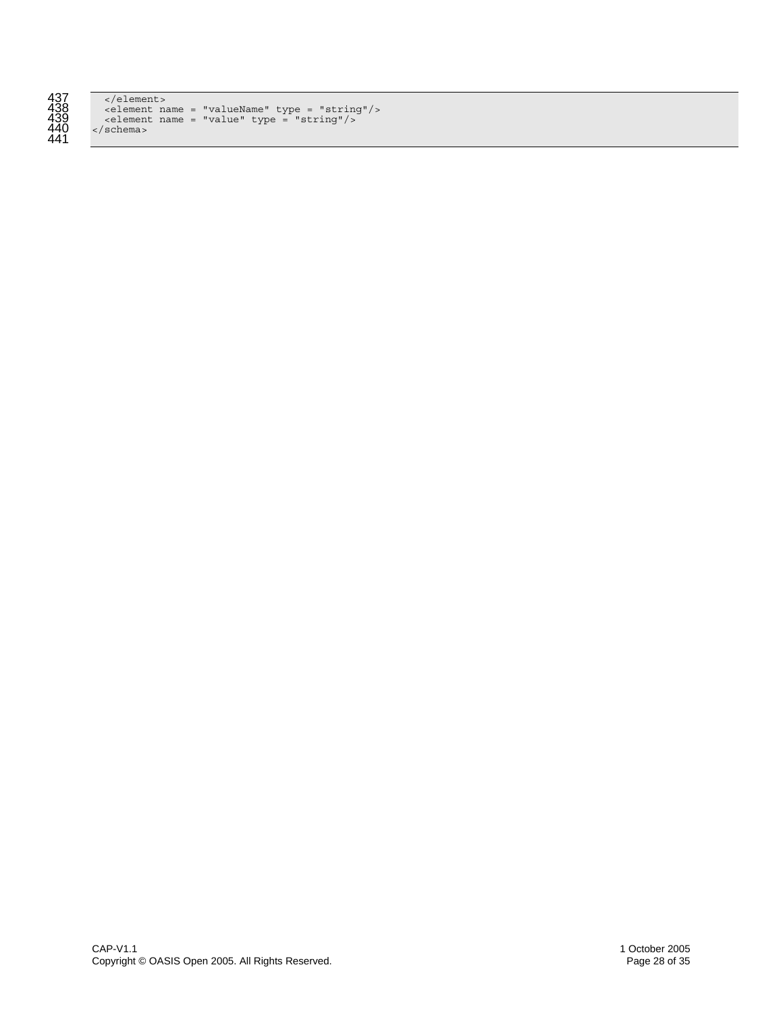

| 437 | $\langle$ element>                                            |
|-----|---------------------------------------------------------------|
| 438 | $\epsilon$ <element name="valueName" type="string"></element> |
| 439 | $\epsilon$ element name = "value" type = "string"/>           |
| 440 | $\langle$ schema>                                             |
| 441 |                                                               |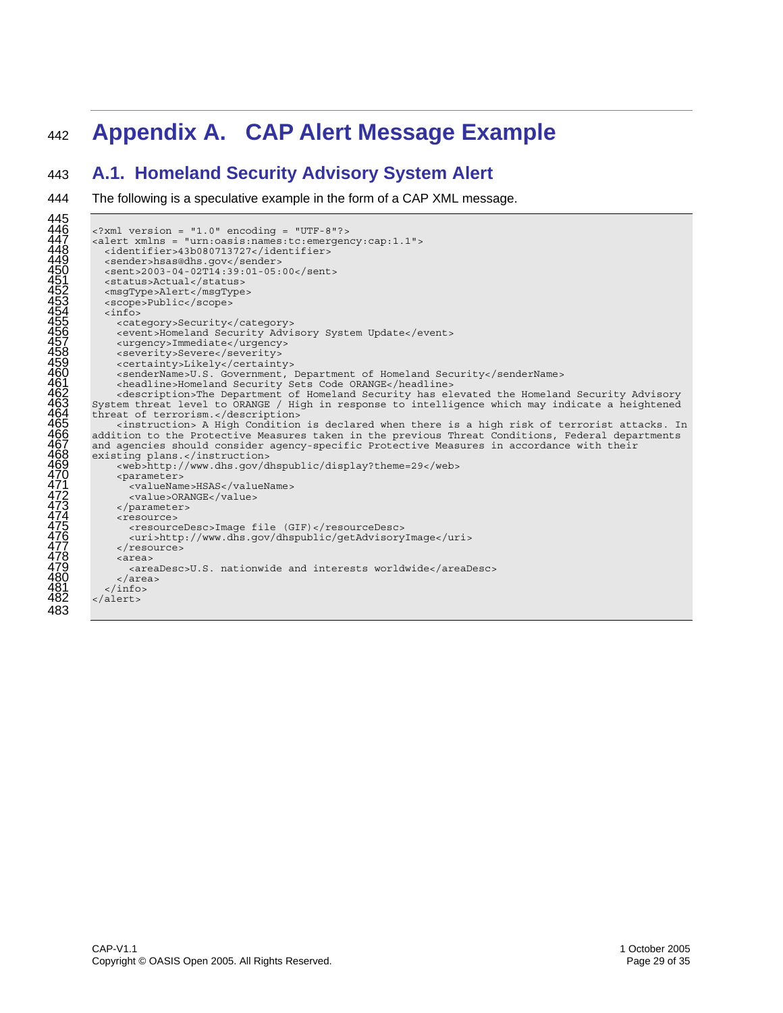### <sup>442</sup>**Appendix A. CAP Alert Message Example**

#### 443 **A.1. Homeland Security Advisory System Alert**

444 The following is a speculative example in the form of a CAP XML message.

```
445 
\frac{446}{10} <?xml version = "1.0" encoding = "UTF-8"?>
447 <alert xmlns = "urn:oasis:names:tc:emergency:cap:1.1"> <adentifier>43b080713727</identifier>
          %<identifier>43b080713727</identifier><sender>hsas@dhs.gov</sender>
          \timessent>2003-04-02T14:39:01-05:00</sent>\timesstatus>Actual</status>
          452 <msgType>Alert</msgType> 
          453<scope>Public</scope> 454 <info> 
            455 <category>Security</category> 
            <event>Homeland Security Advisory System Update</event>
            457 <urgency>Immediate</urgency> 
            458 <severity>Severe</severity> 
            459 <certainty>Likely</certainty> 
            460 <senderName>U.S. Government, Department of Homeland Security</senderName> 
461 <headline>Homeland Security Sets Code ORANGE</headline> 
462 <description>The Department of Homeland Security has elevated the Homeland Security Advisory 
        463 System threat level to ORANGE / High in response to intelligence which may indicate a heightened 
        threat of terrorism.</description>
             465 <instruction> A High Condition is declared when there is a high risk of terrorist attacks. In 
        addition to the Protective Measures taken in the previous Threat Conditions, Federal departments
        and agencies should consider agency-specific Protective Measures in accordance with their
        existing plans.</instruction>
            469 <web>http://www.dhs.gov/dhspublic/display?theme=29</web> 
            <parameter>
               471 <valueName>HSAS</valueName> 
               <value>ORANGE</value>
            473 </parameter> 
            474 <resource> 
              475 <resourceDesc>Image file (GIF)</resourceDesc> 
               476 <uri>http://www.dhs.gov/dhspublic/getAdvisoryImage</uri> 
            \epsilon/resource>
            478 <area> 
              479 <areaDesc>U.S. nationwide and interests worldwide</areaDesc> 
480 </area> 
          \frac{1}{2} /infos
        </alert>
483
```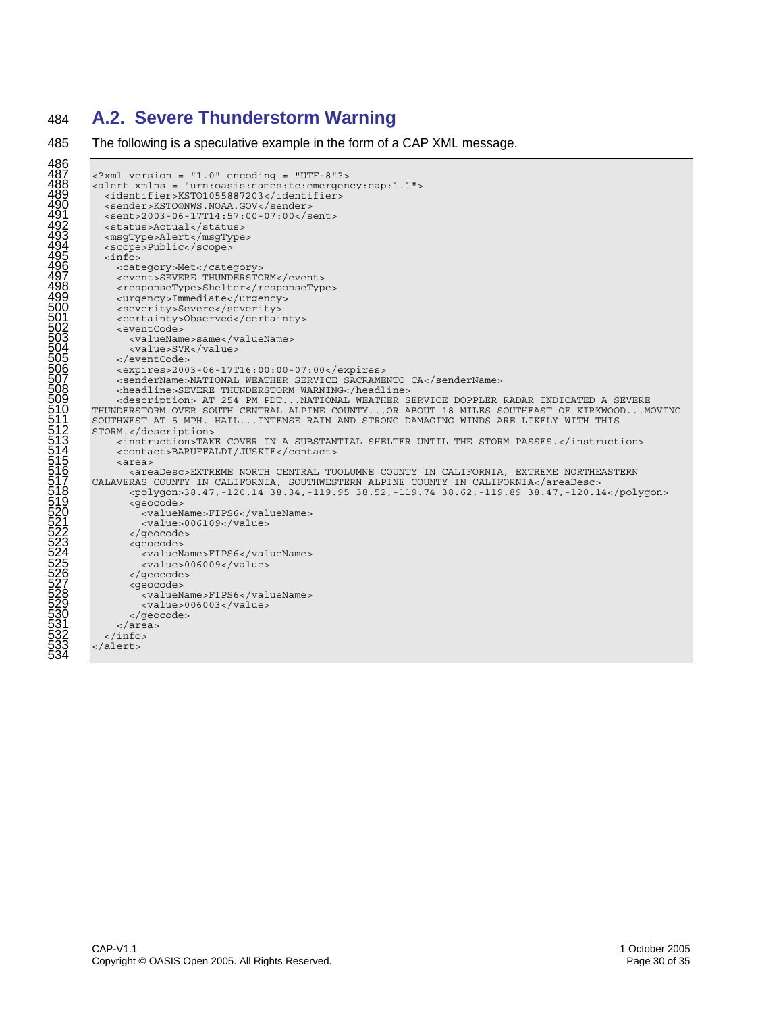#### **A.2. Severe Thunderstorm Warning**

```
485 The following is a speculative example in the form of a CAP XML message. 
486 
          \langle?xml version = "1.0" encoding = "UTF-8"?>
         488 <alert xmlns = "urn:oasis:names:tc:emergency:cap:1.1"> 
            <identifier>KSTO1055887203</identifier>
            490 <sender>KSTO@NWS.NOAA.GOV</sender> 
            491 <sent>2003-06-17T14:57:00-07:00</sent> 
            492 <status>Actual</status> 
            493 <msgType>Alert</msgType> 
            494 <scope>Public</scope> 
            \sin fo><category>Met</category>
               497 <event>SEVERE THUNDERSTORM</event> 
               498 <responseType>Shelter</responseType> 
               499 <urgency>Immediate</urgency> 
               500 <severity>Severe</severity> 
               <certainty>Observed</certainty>
               502 <eventCode> 
                 503<valueName>same</valueName> 504 <value>SVR</value> 
               </eventCode>
               506 <expires>2003-06-17T16:00:00-07:00</expires> 
               507<senderName>NATIONAL WEATHER SERVICE SACRAMENTO CA</senderName> 508 <headline>SEVERE THUNDERSTORM WARNING</headline> 
509 <description> AT 254 PM PDT...NATIONAL WEATHER SERVICE DOPPLER RADAR INDICATED A SEVERE 
510 THUNDERSTORM OVER SOUTH CENTRAL ALPINE COUNTY...OR ABOUT 18 MILES SOUTHEAST OF KIRKWOOD...MOVING 
         511 SOUTHWEST AT 5 MPH. HAIL...INTENSE RAIN AND STRONG DAMAGING WINDS ARE LIKELY WITH THIS 
         512 STORM.</description> 
               513<instruction>TAKE COVER IN A SUBSTANTIAL SHELTER UNTIL THE STORM PASSES.</instruction> 514 <contact>BARUFFALDI/JUSKIE</contact> 
               515 <area> 
         516<areaDesc>EXTREME NORTH CENTRAL TUOLUMNE COUNTY IN CALIFORNIA, EXTREME NORTHEASTERN 517 CALAVERAS COUNTY IN CALIFORNIA, SOUTHWESTERN ALPINE COUNTY IN CALIFORNIA</areaDesc> 
                 518 <polygon>38.47,-120.14 38.34,-119.95 38.52,-119.74 38.62,-119.89 38.47,-120.14</polygon> 
                    519<geocode> 520 <valueName>FIPS6</valueName> 
                     <value>006109</value>
                 </geocode><br><geocode>
                    524 <valueName>FIPS6</valueName> 
                  525<value>006009</value> 526 </geocode> 
                 <geocode>
                    528<valueName>FIPS6</valueName> 529 <value>006003</value> 
               </geocode><br></area>
\frac{531}{22} </area>
          </info><br></alert>
534
```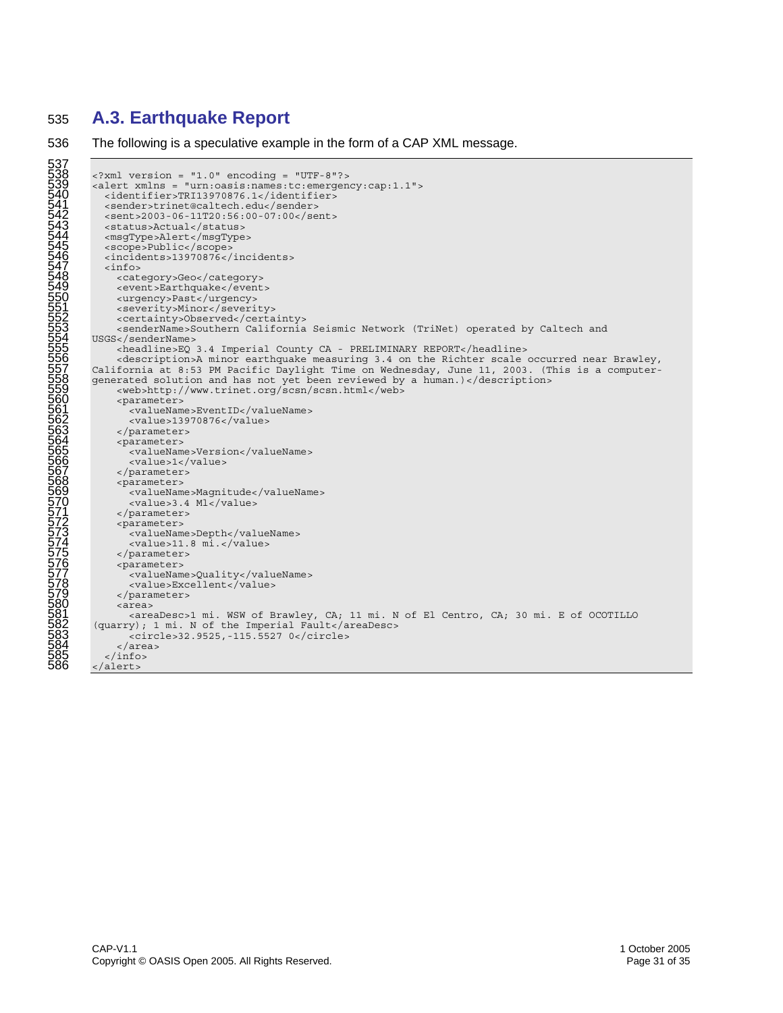#### **A.3. Earthquake Report**

536 The following is a speculative example in the form of a CAP XML message.

```
537 
          \langle?xml version = "1.0" encoding = "UTF-8"?>
         539 <alert xmlns = "urn:oasis:names:tc:emergency:cap:1.1"> 
            <identifier>TRI13970876.1</identifier>
            541 <sender>trinet@caltech.edu</sender> 
            542 <sent>2003-06-11T20:56:00-07:00</sent> 
            543 <status>Actual</status> 
            544 <msgType>Alert</msgType> 
            545 <scope>Public</scope> 
            546 <incidents>13970876</incidents> 
            547 <info> 
548 <category>Geo</category> 
549 <event>Earthquake</event> 
               550 <urgency>Past</urgency> 
               551 <severity>Minor</severity> 
               552 <certainty>Observed</certainty> 
         553 <senderName>Southern California Seismic Network (TriNet) operated by Caltech and 
              554USGS</senderName> 555 <headline>EQ 3.4 Imperial County CA - PRELIMINARY REPORT</headline> 
               556 <description>A minor earthquake measuring 3.4 on the Richter scale occurred near Brawley, 
         California at 8:53 PM Pacific Daylight Time on Wednesday, June 11, 2003. (This is a computer-
         generated solution and has not yet been reviewed by a human.)</description> <web>http://www.trinet.org/scsn/scsn.html</web>
               <parameter>
                 561<valueName>EventID</valueName> 562 <value>13970876</value> 
               </parameter><br><parameter>
                 <valueName>Version</valueName>
                 566 <value>1</value> 
              567</parameter> 568 <parameter> 
                 569 <valueName>Magnitude</valueName> 
               <value>3.4 Ml</value><br> </parameter>
              <parameter>
                 573<valueName>Depth</valueName> 574 <value>11.8 mi.</value> 
               </parameter><br><parameter>
                 576<parameter> 577 <valueName>Quality</valueName> 
                 578 <value>Excellent</value> 
               579</parameter> 580 <area> 
581 <areaDesc>1 mi. WSW of Brawley, CA; 11 mi. N of El Centro, CA; 30 mi. E of OCOTILLO 
582(quarry); 1 mi. N of the Imperial Fault</areaDesc> 583 <circle>32.9525,-115.5527 0</circle> 
\frac{584}{100} </area>
585 </info><br>586 </alert>
         586 </alert>
```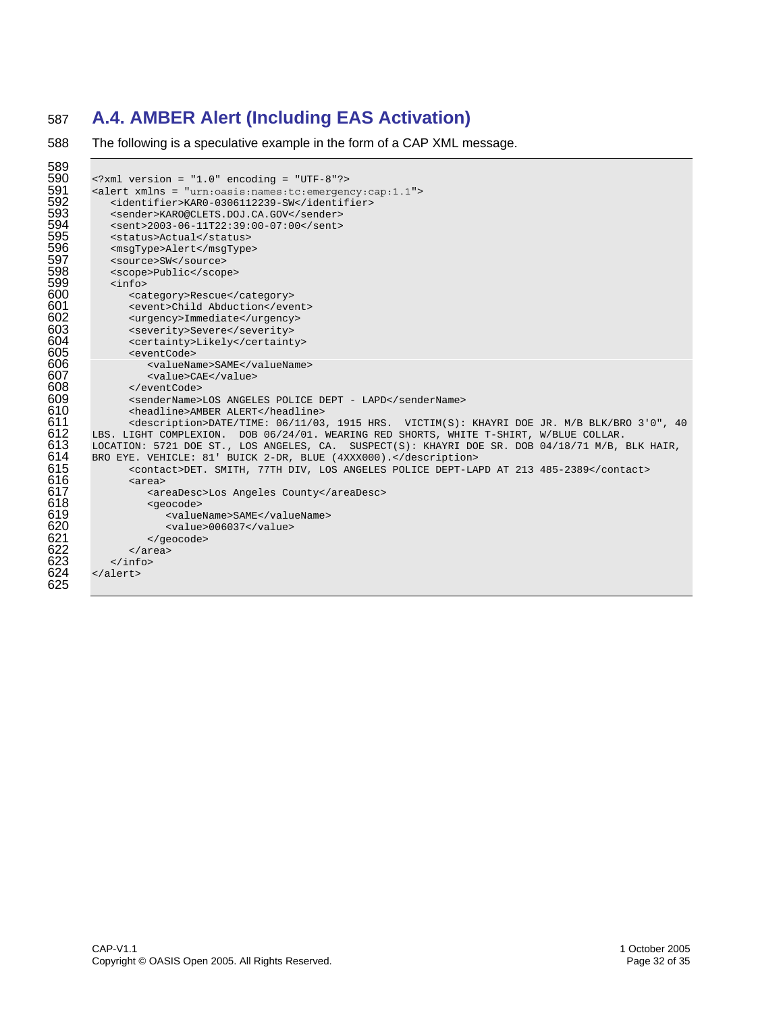#### 587 **A.4. AMBER Alert (Including EAS Activation)**

588 The following is a speculative example in the form of a CAP XML message.

```
589 
590 <?xml version = "1.0" encoding = "UTF-8"?> 
591 <alert xmlns = "urn:oasis:names:tc:emergency:cap:1.1"><br>592 <identifier>KAR0-0306112239-SW</identifier>
592 <identifier>KAR0-0306112239-SW</identifier><br>593 <sender>KAR0@CLETS.DOJ.CA.GOV</sender>
593 <sender>KARO@CLETS.DOJ.CA.GOV</sender> 
594 <sent>2003-06-11T22:39:00-07:00</sent> 
595 <status>Actual</status><br>596 <msgType>Alert</msgType
596 <msgType>Alert</msgType><br>597 <source>SW</source>
597 <source>SW</source><br>598 <scope>Public</scop
598 <scope>Public</scope><br>599 <info>
599 <info><br>600 <ca
600 <category>Rescue</category><br>601 <event>Child Abduction</eve
601 <event>Child Abduction</event><br>602 <urgency>Immediate</urgency>
602 <urgency>Immediate</urgency><br>603 <severity>Severe</severity>
603 <severity>Severe</severity><br>604 <certainty>Likely</certaint
604 <certainty>Likely</certainty><br>605 <wentCode>
605 <eventCode> 
606 <valueName>SAME</valueName><br>607 <value>CAE</value>
607 <value>CAE</value><br>608 </eventCode>
608 </eventCode><br>609 <senderName>
609 <senderName>LOS ANGELES POLICE DEPT - LAPD</senderName><br>610 <headline>AMBER ALERT</headline>
610 <headline>AMBER ALERT</headline><br>611 <description>DATE/TIME: 06/11/03
611 <description>DATE/TIME: 06/11/03, 1915 HRS. VICTIM(S): KHAYRI DOE JR. M/B BLK/BRO 3'0", 40<br>612 LBS. LIGHT COMPLEXION. DOB 06/24/01. WEARING RED SHORTS, WHITE T-SHIRT, W/BLUE COLLAR.
612 LBS. LIGHT COMPLEXION. DOB 06/24/01. WEARING RED SHORTS, WHITE T-SHIRT, W/BLUE COLLAR.<br>613 LOCATION: 5721 DOE ST., LOS ANGELES, CA. SUSPECT(S): KHAYRI DOE SR. DOB 04/18/71 M/B,
613 LOCATION: 5721 DOE ST., LOS ANGELES, CA. SUSPECT(S): KHAYRI DOE SR. DOB 04/18/71 M/B, BLK HAIR, 614 DRO EYE. VEHICLE: 81' BUICK 2-DR, BLUE (4XXX000).</description>
614 BRO EYE. VEHICLE: 81' BUICK 2-DR, BLUE (4XXX000).</description> 
615 <contact>DET. SMITH, 77TH DIV, LOS ANGELES POLICE DEPT-LAPD AT 213 485-2389</contact><br>616 <area> <areaDesc>Los Angeles County</areaDesc>
                   616 <area> 
617 <areaDesc>Los Angeles County</areaDesc> 
618 <geocode><br>619 <geocode>
619 <valueName>SAME</valueName><br>620 <value>006037</value><br>621 </area><br>622 </area>
                            620 <value>006037</value> 
                       621 </geocode> 
                   622 </area> 
               \langleinfo>624 </alert> 
623<br>624<br>625
```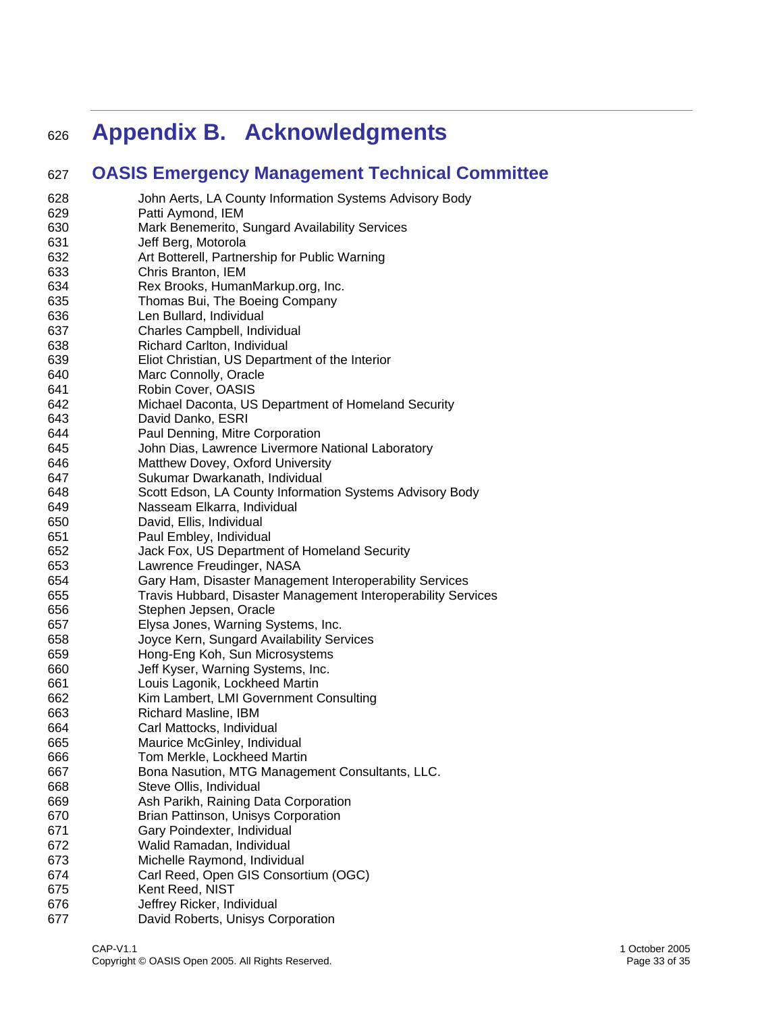## <sup>626</sup>**Appendix B. Acknowledgments**

#### 627 **OASIS Emergency Management Technical Committee**

| 628<br>629 | John Aerts, LA County Information Systems Advisory Body<br>Patti Aymond, IEM |
|------------|------------------------------------------------------------------------------|
| 630<br>631 | Mark Benemerito, Sungard Availability Services<br>Jeff Berg, Motorola        |
| 632        | Art Botterell, Partnership for Public Warning                                |
| 633        | Chris Branton, IEM                                                           |
| 634<br>635 | Rex Brooks, HumanMarkup.org, Inc.<br>Thomas Bui, The Boeing Company          |
| 636        | Len Bullard, Individual                                                      |
| 637        | Charles Campbell, Individual                                                 |
| 638        | Richard Carlton, Individual                                                  |
| 639        | Eliot Christian, US Department of the Interior                               |
| 640        | Marc Connolly, Oracle                                                        |
| 641        | Robin Cover, OASIS                                                           |
| 642        | Michael Daconta, US Department of Homeland Security                          |
| 643        | David Danko, ESRI                                                            |
| 644        | Paul Denning, Mitre Corporation                                              |
| 645        | John Dias, Lawrence Livermore National Laboratory                            |
| 646        | Matthew Dovey, Oxford University                                             |
| 647        | Sukumar Dwarkanath, Individual                                               |
| 648        | Scott Edson, LA County Information Systems Advisory Body                     |
| 649        | Nasseam Elkarra, Individual                                                  |
| 650        | David, Ellis, Individual                                                     |
| 651        | Paul Embley, Individual                                                      |
| 652        | Jack Fox, US Department of Homeland Security                                 |
| 653        | Lawrence Freudinger, NASA                                                    |
| 654        | Gary Ham, Disaster Management Interoperability Services                      |
| 655        | Travis Hubbard, Disaster Management Interoperability Services                |
| 656        | Stephen Jepsen, Oracle                                                       |
| 657        | Elysa Jones, Warning Systems, Inc.                                           |
| 658        | Joyce Kern, Sungard Availability Services                                    |
| 659        | Hong-Eng Koh, Sun Microsystems                                               |
| 660        | Jeff Kyser, Warning Systems, Inc.                                            |
| 661<br>662 | Louis Lagonik, Lockheed Martin<br>Kim Lambert, LMI Government Consulting     |
| 663        | Richard Masline, IBM                                                         |
| 664        | Carl Mattocks, Individual                                                    |
| 665        | Maurice McGinley, Individual                                                 |
| 666        | Tom Merkle, Lockheed Martin                                                  |
| 667        | Bona Nasution, MTG Management Consultants, LLC.                              |
| 668        | Steve Ollis, Individual                                                      |
| 669        | Ash Parikh, Raining Data Corporation                                         |
| 670        | Brian Pattinson, Unisys Corporation                                          |
| 671        | Gary Poindexter, Individual                                                  |
| 672        | Walid Ramadan, Individual                                                    |
| 673        | Michelle Raymond, Individual                                                 |
| 674        | Carl Reed, Open GIS Consortium (OGC)                                         |
| 675        | Kent Reed, NIST                                                              |
| 676        | Jeffrey Ricker, Individual                                                   |
| 677        | David Roberts, Unisys Corporation                                            |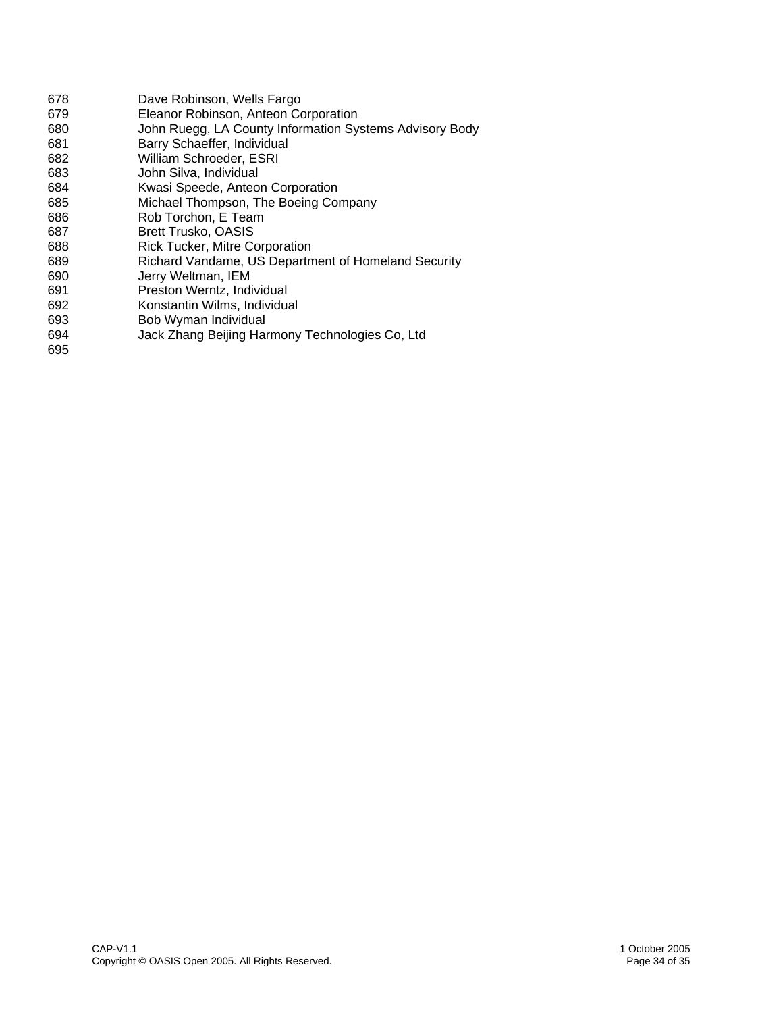| 678 | Dave Robinson, Wells Fargo                              |
|-----|---------------------------------------------------------|
| 679 | Eleanor Robinson, Anteon Corporation                    |
| 680 | John Ruegg, LA County Information Systems Advisory Body |
| 681 | Barry Schaeffer, Individual                             |
| 682 | William Schroeder, ESRI                                 |
| 683 | John Silva, Individual                                  |
| 684 | Kwasi Speede, Anteon Corporation                        |
| 685 | Michael Thompson, The Boeing Company                    |
| 686 | Rob Torchon, E Team                                     |
| 687 | <b>Brett Trusko, OASIS</b>                              |
| 688 | <b>Rick Tucker, Mitre Corporation</b>                   |
| 689 | Richard Vandame, US Department of Homeland Security     |
| 690 | Jerry Weltman, IEM                                      |
| 691 | Preston Werntz, Individual                              |
| 692 | Konstantin Wilms, Individual                            |
| 693 | Bob Wyman Individual                                    |
| 694 | Jack Zhang Beijing Harmony Technologies Co, Ltd         |
| 695 |                                                         |